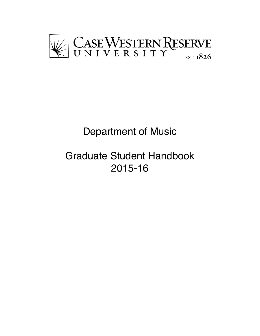

# Department of Music

# Graduate Student Handbook 2015-16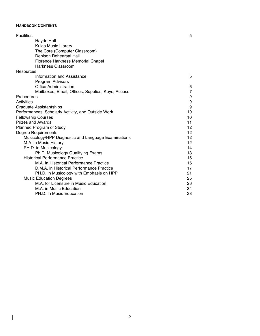## **HANDBOOK CONTENTS**

 $\overline{\phantom{a}}$ 

| <b>Facilities</b>                                   | 5               |
|-----------------------------------------------------|-----------------|
| Haydn Hall                                          |                 |
| <b>Kulas Music Library</b>                          |                 |
| The Core (Computer Classroom)                       |                 |
| <b>Denison Rehearsal Hall</b>                       |                 |
| Florence Harkness Memorial Chapel                   |                 |
| Harkness Classroom                                  |                 |
| Resources                                           |                 |
| Information and Assistance                          | 5               |
| <b>Program Advisors</b>                             |                 |
| <b>Office Administration</b>                        | 6               |
| Mailboxes, Email, Offices, Supplies, Keys, Access   | 7               |
| Procedures                                          | 9               |
| Activities                                          | 9               |
| <b>Graduate Assistantships</b>                      | 9               |
| Performances, Scholarly Activity, and Outside Work  | 10              |
| <b>Fellowship Courses</b>                           | 10              |
| <b>Prizes and Awards</b>                            | 11              |
| Planned Program of Study                            | 12              |
| <b>Degree Requirements</b>                          | 12 <sup>2</sup> |
| Musicology/HPP Diagnostic and Language Examinations | 12              |
| M.A. in Music History                               | 12 <sup>2</sup> |
| PH.D. in Musicology                                 | 14              |
| Ph.D. Musicology Qualifying Exams                   | 13              |
| <b>Historical Performance Practice</b>              | 15              |
| M.A. in Historical Performance Practice             | 15              |
| D.M.A. in Historical Performance Practice           | 17              |
| PH.D. in Musicology with Emphasis on HPP            | 21              |
| <b>Music Education Degrees</b>                      | 25              |
| M.A. for Licensure in Music Education               | 26              |
| M.A. in Music Education                             | 34              |
| PH.D. in Music Education                            | 38              |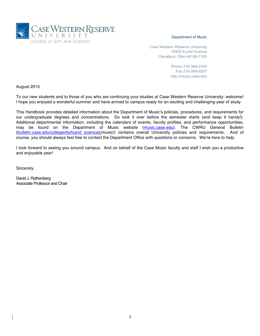

#### Department of Music

Case Western Reserve University 10900 Euclid Avenue Cleveland, Ohio 44106-7105

> Phone 216-368-2400 Fax 216-368-6557 http://music.case.edu

August 2015

To our new students and to those of you who are continuing your studies at Case Western Reserve University: welcome! I hope you enjoyed a wonderful summer and have arrived to campus ready for an exciting and challenging year of study.

This Handbook provides detailed information about the Department of Music's policies, procedures, and requirements for our undergraduate degrees and concentrations. Do look it over before the semester starts (and keep it handy!). Additional departmental information, including the calendars of events, faculty profiles, and performance opportunities, may be found on the Department of Music website (music.case.edu). The CWRU General Bulletin (bulletin.case.edu/collegeofartsand sciences/music/) contains overall University policies and requirements. And of course, you should always feel free to contact the Department Office with questions or concerns. We're here to help.

I look forward to seeing you around campus. And on behalf of the Case Music faculty and staff I wish you a productive and enjoyable year!

Sincerely,

David J. Rothenberg Associate Professor and Chair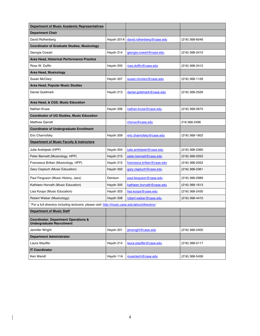| <b>Department of Music Academic Representatives</b>                                              |            |                            |                |
|--------------------------------------------------------------------------------------------------|------------|----------------------------|----------------|
| <b>Department Chair</b>                                                                          |            |                            |                |
| David Rothenberg                                                                                 | Haydn 201A | david.rothenberg@case.edu  | (216) 368-6046 |
| <b>Coordinator of Graduate Studies, Musicology</b>                                               |            |                            |                |
| Georgia Cowart                                                                                   | Haydn 314  | georgia.cowart@case.edu    | (216) 368-2410 |
| Area Head, Historical Performance Practice                                                       |            |                            |                |
| Ross W. Duffin                                                                                   | Haydn 205  | ross.duffin@case.edu       | (216) 368-2412 |
| Area Head, Musicology                                                                            |            |                            |                |
| Susan McClary                                                                                    | Haydn 307  | susan.mcclary@case.edu     | (216) 368-1126 |
| Area Head, Popular Music Studies                                                                 |            |                            |                |
| Daniel Goldmark                                                                                  | Haydn 213  | daniel.goldmark@case.edu   | (216) 368-2526 |
| Area Head, & CGS, Music Education                                                                |            |                            |                |
| Nathan Kruse                                                                                     | Haydn 306  | nathan.kruse@case.edu      | (216) 368-0675 |
| <b>Coordinator of UG Studies, Music Education</b>                                                |            |                            |                |
| <b>Matthew Garrett</b>                                                                           |            | chorus@case.edu            | 216.368.2496   |
| <b>Coordinator of Undergraduate Enrollment</b>                                                   |            |                            |                |
| Eric Charnofsky                                                                                  | Haydn 309  | eric.charnofsky@case.edu   | (216) 368-1602 |
| Department of Music Faculty & Instructors                                                        |            |                            |                |
| Julie Andrijeski (HPP)                                                                           | Haydn 204  | julie.andrijeski@case.edu  | (216) 368-2360 |
| Peter Bennett (Musicology, HPP)                                                                  | Haydn 215  | peter.bennett@case.edu     | (216) 368-2052 |
| Francesca Brittan (Musicology, HPP)                                                              | Haydn 215  | francesca.brittan@case.edu | (216) 368-2052 |
| Gary Ciepluch (Music Education)                                                                  | Haydn 302  | gary.ciepluch@case.edu     | (216) 368-2361 |
| Paul Ferguson (Music History, Jazz)                                                              | Denison    | paul.ferguson@case.edu     | (216) 368-2989 |
| Kathleen Horvath (Music Education)                                                               | Haydn 305  | kathleen.horvath@case.edu  | (216) 368-1613 |
| Lisa Koops (Music Education)                                                                     | Haydn 303  | lisa.koops@case.edu        | (216) 368-2430 |
| Robert Walser (Musicology)                                                                       | Haydn 308  | robert.walser@case.edu     | (216) 368-4410 |
| *For a full directory including lecturers, please visit: http://music.case.edu/about/directory/. |            |                            |                |
| <b>Department of Music Staff</b>                                                                 |            |                            |                |
| <b>Coordinator, Department Operations &amp;</b><br><b>Undergraduate Recruitment</b>              |            |                            |                |
| Jennifer Wright                                                                                  | Haydn 201  | ienwright@case.edu         | (216) 368-2400 |
| <b>Department Administrator</b>                                                                  |            |                            |                |
| Laura Stauffer                                                                                   | Haydn 214  | laura.stauffer@case.edu    | (216) 368-0117 |
| <b>IT Coordinator</b>                                                                            |            |                            |                |
| Ken Wendt                                                                                        | Haydn 11A  | musictech@case.edu         | (216) 368-5456 |

 $\begin{array}{c} \hline \end{array}$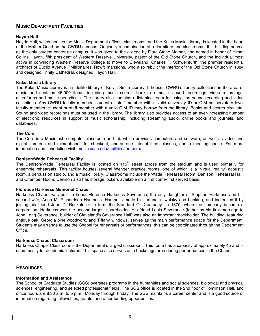# **MUSIC DEPARTMENT FACILITIES**

## **Haydn Hall**

Haydn Hall, which houses the Music Department offices, classrooms, and the Kulas Music Library, is located in the heart of the Mather Quad on the CWRU campus. Originally a combination of a dormitory and classrooms, this building served as the only student center on campus. It was given to the college by Flora Stone Mather, and named in honor of Hiram Collins Haydn, fifth president of Western Reserve University, pastor of the Old Stone Church, and the individual most active in convincing Western Reserve College to move to Cleveland. Charles F. Schweinfurth, the premier residential architect of Euclid Avenue ("Millionaires' Row") mansions, who also rebuilt the interior of the Old Stone Church in 1884 and designed Trinity Cathedral, designed Haydn Hall.

#### **Kulas Music Library**

The Kulas Music Library is a satellite library of Kelvin Smith Library. It houses CWRU's library collections in the area of music and contains 45,000 items, including music scores, books on music, sound recordings, video recordings, microforms and music periodicals. The library also contains a listening room for using the sound recording and video collections. Any CWRU faculty member, student or staff member with a valid university ID or CIM conservatory level faculty member, student or staff member with a valid CIM ID may borrow from the library. Books and scores circulate. Sound and video recordings must be used in the library. The library also provides access to an ever-increasing number of electronic resources in support of music scholarship, including streaming audio, online books and journals, and databases.

### **The Core**

The Core is a Macintosh computer classroom and lab which provides computers and software, as well as video and digital cameras and microphones for checkout, one-on-one tutorial time, classes, and a meeting space. For more information and scheduling visit: music.case.edu/facilities/the-core/

### **Denison/Wade Rehearsal Facility**

The Denison/Wade Rehearsal Facility is located on 115<sup>th</sup> street across from the stadium and is used primarily for ensemble rehearsals. This facility houses several Wenger practice rooms, one of which is a "virtual reality" acoustic room, a percussion studio, and a music library. Classrooms include the Wade Rehearsal Room, Denison Rehearsal Hall, and Chamber Room. Denison also has storage lockers available on a first come-first served basis.

#### **Florence Harkness Memorial Chapel**

Harkness Chapel was built to honor Florence Harkness Severance, the only daughter of Stephen Harkness and his second wife, Anna M. Richardson Harkness. Harkness made his fortune in whisky and banking, and increased it by joining his friend John D. Rockefeller to form the Standard Oil Company. In 1870, when the company became a corporation, Harkness was the second-largest shareholder. His friend Louis Severance (father by his first marriage to John Long Severance, builder of Cleveland's Severance Hall) was also an important stockholder. The building, featuring antique oak, Georgia pine woodwork, and Tiffany windows, serves as the main performance space for the Department. Students may arrange to use the Chapel for rehearsals or performances; this can be coordinated through the Department Office.

#### **Harkness Chapel Classroom**

Harkness Chapel Classroom is the Department's largest classroom. This room has a capacity of approximately 45 and is used mostly for academic lectures. This space also serves as a backstage area during performances in the Chapel.

## **RESOURCES**

#### **Information and Assistance**

The School of Graduate Studies (SGS) oversees programs in the humanities and social sciences, biological and physical sciences, engineering, and selected professional fields. The SGS office is located in the 2nd floor of Tomlinson Hall, and office hours are 8:30 a.m. to 5 p.m., Monday through Friday. The SGS maintains a career center and is a good source of information regarding fellowships, grants, and other funding opportunities.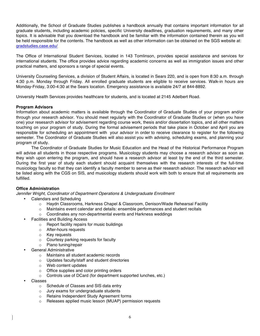Additionally, the School of Graduate Studies publishes a handbook annually that contains important information for all graduate students, including academic policies, specific University deadlines, graduation requirements, and many other topics. It is advisable that you download the handbook and be familiar with the information contained therein as you will be held responsible for the contents. The handbook as well as other information can be obtained on the SGS website at: gradstudies.case.edu/

The Office of International Student Services, located in 143 Tomlinson, provides special assistance and services for international students. The office provides advice regarding academic concerns as well as immigration issues and other practical matters, and sponsors a range of special events.

University Counseling Services, a division of Student Affairs, is located in Sears 220, and is open from 8:30 a.m. through 4:30 p.m. Monday through Friday. All enrolled graduate students are eligible to receive services. Walk-in hours are Monday-Friday, 3:00-4:30 at the Sears location. Emergency assistance is available 24/7 at 844-8892.

University Health Services provides healthcare for students, and is located at 2145 Adelbert Road.

### **Program Advisors**

Information about academic matters is available through the Coordinator of Graduate Studies of your program and/or through your research advisor. You should meet regularly with the Coordinator of Graduate Studies or (when you have one) your resesarch advisor for advisement regarding course work, thesis and/or dissertation topics, and all other matters touching on your program of study. During the formal advisement periods that take place in October and April you are responsible for scheduling an appointment with your advisor in order to receive clearance to register for the following semester. The Coordinator of Graduate Studies will also assist you with advising, scheduling exams, and planning your program of study.

The Coordinator of Graduate Studies for Music Education and the Head of the Historical Performance Program will advise all students in those respective programs. Musicology students may choose a research advisor as soon as they wish upon entering the program, and should have a research advisor at least by the end of the third semester. During the first year of study each student should acquaint themselves with the research interests of the full-time musicology faculty so that they can identify a faculty member to serve as their research advisor. The research advisor will be listed along with the CGS on SIS, and musicology students should work with both to ensure that all requirements are fulfilled.

## **Office Administration**

*Jennifer Wright, Coordinator of Department Operations & Undergraduate Enrollment*

- Calendars and Scheduling
	- o Haydn Classrooms, Harkness Chapel & Classroom, Denison/Wade Rehearsal Facility
	- $\circ$  Maintains event calendar and details: ensemble performances and student recitals
	- o Coordinates any non-departmental events and Harkness weddings
- Facilities and Building Access
	- o Report facility repairs for music buildings
	- o After-hours requests
	- o Key requests
	- o Courtesy parking requests for faculty
	- o Piano tuning/repair
- General Administrative
	- o Maintains all student academic records
	- o Updates faculty/staff and student directories
	- o Web content updates
	- o Office supplies and color printing orders
	- o Controls use of DCard (for department supported lunches, etc.)
- Classes
	- o Schedule of Classes and SIS data entry
	- o Jury exams for undergraduate students
	- o Retains Independent Study Agreement forms
	- o Releases applied music lesson (MUAP) permission requests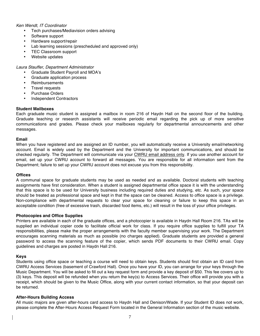### *Ken Wendt, IT Coordinator*

- Tech purchases/Mediavision orders advising
- Software support
- Hardware support/repair
- Lab learning sessions (prescheduled and approved only)
- TEC Classroom support
- Website updates

*Laura Stauffer, Department Administrator*

- Graduate Student Payroll and MOA's
- Graduate application process
- **Reimbursements**
- Travel requests
- Purchase Orders
- Independent Contractors

#### **Student Mailboxes**

Each graduate music student is assigned a mailbox in room 216 of Haydn Hall on the second floor of the building. Graduate teaching or research assistants will receive periodic email regarding the pick up of more sensitive communications and grades. Please check your mailboxes regularly for departmental announcements and other messages.

#### **Email**

When you have registered and are assigned an ID number, you will automatically receive a University email/networking account. Email is widely used by the Department and the University for important communications, and should be checked regularly. The Department will communicate via your CWRU email address only. If you use another account for email, set up your CWRU account to forward all messages. You are responsible for all information sent from the Department; failure to set up your CWRU account does not excuse you from this responsibility.

### **Offices**

A communal space for graduate students may be used as needed and as available. Doctoral students with teaching assignments have first consideration. When a student is assigned departmental office space it is with the understanding that this space is to be used for University business including required duties and studying, etc. As such, your space should be treated as professional space and kept in that the space can be cleaned. Access to office space is a privilege. Non-compliance with departmental requests to clear your space for cleaning or failure to keep this space in an acceptable condition (free of excessive trash, discarded food items, etc.) will result in the loss of your office privileges.

#### **Photocopies and Office Supplies**

Printers are available in each of the graduate offices, and a photocopier is available in Haydn Hall Room 216. TAs will be supplied an individual copier code to facilitate official work for class. If you require office supplies to fulfill your TA responsibilities, please make the proper arrangements with the faculty member supervising your work. The Department encourages scanning materials as much as possible (no charges applied). Graduate students are provided a general password to access the scanning feature of the copier, which sends PDF documents to their CWRU email. Copy guidelines and charges are posted in Haydn Hall 216.

#### **Keys**

Students using office space or teaching a course will need to obtain keys. Students should first obtain an ID card from CWRU Access Services (basement of Crawford Hall). Once you have your ID, you can arrange for your keys through the Music Department. You will be asked to fill out a key request form and provide a key deposit of \$50. This fee covers up to (3) keys. This deposit will be refunded when you return the key(s) to Access Services. Their office will provide you with a receipt, which should be given to the Music Office, along with your current contact information, so that your deposit can be returned.

#### **After-Hours Building Access**

All music majors are given after-hours card access to Haydn Hall and Denison/Wade. If your Student ID does not work, please complete the After-Hours Access Request Form located in the General Information section of the music website.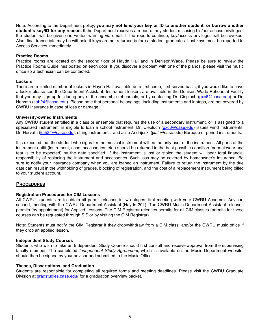Note: According to the Department policy, **you may not lend your key or ID to another student, or borrow another student's key/ID for any reason.** If the Department receives a report of any student misusing his/her access privileges, the student will be given one written warning via email. If the reports continue, key/access privileges will be revoked. Also, final transcripts may be withheld if keys are not returned before a student graduates. Lost keys must be reported to Access Services immediately.

#### **Practice Rooms**

Practice rooms are located on the second floor of Haydn Hall and in Denison/Wade. Please be sure to review the Practice Rooms Guidelines posted on each door. If you discover a problem with one of the pianos, please visit the music office so a technician can be contacted.

#### **Lockers**

There are a limited number of lockers in Haydn Hall available on a first come, first-served basis; if you would like to have a locker please see the Department Assistant. Instrument lockers are available in the Denison Wade Rehearsal Facility that you may sign up for during any of the ensemble rehearsals, or by contacting Dr. Ciepluch (gxc6@case.edu) or Dr. Horvath (kah24@case.edu). Please note that personal belongings, including instruments and laptops, are not covered by CWRU insurance in case of loss or damage.

### **University-owned Instruments**

Any CWRU student enrolled in a class or ensemble that requires the use of a secondary instrument, or is assigned to a specialized instrument, is eligible to loan a school instrument. Dr. Ciepluch (gxc6@case.edu) issues wind instruments, Dr. Horvath (kah24@case.edu), string instruments, and Julie Andrijeski (jxa4@case.edu) Baroque or period instruments.

It is expected that the student who signs for the musical instrument will be the only user of the instrument. All parts of the instrument outfit (instrument, case, accessories, etc.) should be returned in the best possible condition (normal wear and tear is to be expected) by the date specified. If the instrument is lost or stolen the student will bear total financial responsibility of replacing the instrument and accessories. Such loss may be covered by homeowner's insurance. Be sure to notify your insurance company when you are loaned an instrument. Failure to return the instrument by the due date can result in the withholding of grades, blocking of registration, and the cost of a replacement instrument being billed to your student account.

# **PROCEDURES**

#### **Registration Procedures for CIM Lessons**

All CWRU students are to obtain all permit releases in two stages: first meeting with your CWRU Academic Advisor; second, meeting with the CWRU Department Assistant (Haydn 201). The CWRU Music Department Assistant releases permits (by appointment) for Applied Lessons. The CIM Registrar releases permits for all CIM classes (permits for these courses can be requested through SIS or by visiting the CIM Registrar).

Note: Students must notify the CIM Registrar if they drop/withdraw from a CIM class, and/or the CWRU music office if they drop an applied lesson.

#### **Independent Study Courses**

Students who wish to take an Independent Study Course should first consult and receive approval from the supervising faculty member. The completed *Independent Study Agreement*, which is available on the Music Department website, should then be signed by your advisor and submitted to the Music Office.

#### **Theses, Dissertations, and Graduation**

Students are responsible for completing all required forms and meeting deadlines. Please visit the CWRU Graduate Division at gradstudies.case.edu/ for a graduation overview packet.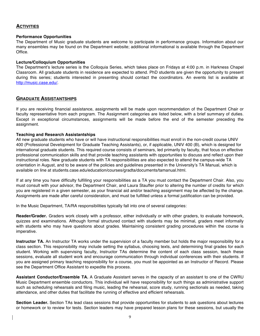# **ACTIVITIES**

#### **Performance Opportunities**

The Department of Music graduate students are welcome to participate in performance groups. Information about our many ensembles may be found on the Department website; additional informational is available through the Department Office.

### **Lecture/Colloquium Opportunities**

The Department's lecture series is the Colloquia Series, which takes place on Fridays at 4:00 p.m. in Harkness Chapel Classroom. All graduate students in residence are expected to attend. PhD students are given the opportunity to present during this series; students interested in presenting should contact the coordinators. An events list is available at http://music.case.edu/.

### **GRADUATE ASSISTANTSHIPS**

If you are receiving financial assistance, assignments will be made upon recommendation of the Department Chair or faculty representative from each program. The Assignment categories are listed below, with a brief summary of duties. Except in exceptional circumstances, assignments will be made before the end of the semester preceding the assignment.

#### **Teaching and Research Assistantships**

All new graduate students who have or will have instructional responsibilities must enroll in the non-credit course UNIV 400 (Professional Development for Graduate Teaching Assistants), or, if applicable, UNIV 400 (B), which is designed for international graduate students. This required course consists of seminars, led primarily by faculty, that focus on effective professional communication skills and that provide teaching assistants with opportunities to discuss and reflect upon their instructional roles. New graduate students with TA responsibilities are also expected to attend the campus-wide TA orientation in August, and to be aware of the policies and guidelines presented in the University's TA Manual, which is available on line at students.case.edu/education/courses/gradta/documents/tamanual.html.

If at any time you have difficulty fulfilling your responsibilities as a TA you must contact the Department Chair. Also, you must consult with your advisor, the Department Chair, and Laura Stauffer prior to altering the number of credits for which you are registered in a given semester, as your financial aid and/or teaching assignment may be affected by the change. Assignments are made after careful consideration, and must be fulfilled unless a formal justification can be provided.

In the Music Department, TA/RA responsibilities typically fall into one of several categories:

**Reader/Grader.** Graders work closely with a professor, either individually or with other graders, to evaluate homework, quizzes and examinations. Although formal structured contact with students may be minimal, graders meet informally with students who may have questions about grades. Maintaining consistent grading procedures within the course is imperative.

**Instructor TA.** An Instructor TA works under the supervision of a faculty member but holds the major responsibility for a class section. This responsibility may include setting the syllabus, choosing texts, and determining final grades for each student. Working with supervising faculty, Instructor TAs determine the content of each class session, teach these sessions, evaluate all student work and encourage communication through individual conferences with their students. If you are assigned primary teaching responsibility for a course, you must be appointed as an Instructor of Record. Please see the Department Office Assistant to expedite this process.

**Assistant Conductor/Ensemble TA.** A Graduate Assistant serves in the capacity of an assistant to one of the CWRU Music Department ensemble conductors. This individual will have responsibility for such things as administrative support such as scheduling rehearsals and filing music, leading the rehearsal, score study, running sectionals as needed, taking attendance, and other duties that facilitate the running of effective and efficient rehearsals.

**Section Leader.** Section TAs lead class sessions that provide opportunities for students to ask questions about lectures or homework or to review for tests. Section leaders may have prepared lesson plans for these sessions, but usually the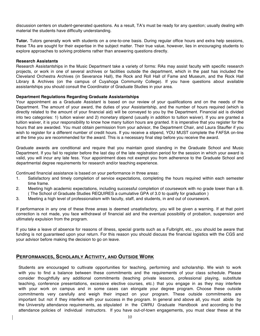discussion centers on student-generated questions. As a result, TA's must be ready for any question; usually dealing with material the students have difficulty understanding.

**Tutor.** Tutors generally work with students on a one-to-one basis. During regular office hours and extra help sessions, these TAs are sought for their expertise in the subject matter. Their true value, however, lies in encouraging students to explore approaches to solving problems rather than answering questions directly.

#### **Research Assistants**

Research Assistantships in the Music Department take a variety of forms: RAs may assist faculty with specific research projects, or work in one of several archives or facilities outside the department, which in the past has included the Cleveland Orchestra Archives (in Severance Hall), the Rock and Roll Hall of Fame and Museum, and the Rock Hall Library & Archives (on the campus of Cuyahoga Community College). If you have questions about available assistantships you should consult the Coordinator of Graduate Studies in your area.

#### **Department Regulations Regarding Graduate Assistantships**

Your appointment as a Graduate Assistant is based on our review of your qualifications and on the needs of the Department. The amount of your award, the duties of your Assistantship, and the number of hours required (which is directly related to the amount of your financial aid) will be conveyed to you by the Department. Financial aid is divided into two categories: 1) tuition waiver and 2) monetary stipend (usually in addition to tuition waiver). If you are granted a tuition waiver, it is your responsibility to know how many tuition hours are granted. It is imperative that you register for the hours that are awarded. You must obtain permission from your advisor, the Department Chair, and Laura Stauffer if you wish to register for a different number of credit hours. If you receive a stipend, YOU MUST complete the FAFSA on-line at the time you are recommended for the award. This is a necessary final step before you receive the award.

Graduate awards are conditional and require that you maintain good standing in the Graduate School and Music Department. If you fail to register before the last day of the late registration period for the session in which your award is valid, you will incur any late fess. Your appointment does not exempt you from adherence to the Graduate School and departmental degree requirements for research and/or teaching experience.

Continued financial assistance is based on your performance in three areas:

- 1. Satisfactory and timely completion of service expectations, completing the hours required within each semester time frame.
- 2. Meeting high academic expectations, including successful completion of coursework with no grade lower than a B. ( The School of Graduate Studies REQUIRES a cumulative GPA of 3.0 to qualify for graduation )
- 3. Meeting a high level of professionalism with faculty, staff, and students, in and out of coursework.

If performance in any one of these three areas is deemed unsatisfactory, you will be given a warning. If at that point correction is not made, you face withdrawal of financial aid and the eventual possibility of probation, suspension and ultimately expulsion from the program.

If you take a leave of absence for reasons of illness, special grants such as a Fulbright, etc., you should be aware that funding is not guaranteed upon your return. For this reason you should discuss the financial logistics with the CGS and your advisor before making the decision to go on leave.

## **PERFORMANCES, SCHOLARLY ACTIVITY, AND OUTSIDE WORK**

Students are encouraged to cultivate opportunities for teaching, performing and scholarship. We wish to work with you to find a balance between these commitments and the requirements of your class schedule. Please consider thoughtfully any additional commitments (teaching private lessons, professional playing, substitute teaching, conference presentations, excessive elective courses, etc.) that you engage in as they may interfere with your work on campus and in some cases can elongate your degree program. Choose these outside commitments very carefully and weigh their impact on your program. These outside commitments are important but not if they interfere with your success in the program. In general and above all, you must abide by the University attendance requirements, as stipulated in the CWRU Graduate Handbook and according to the attendance policies of individual instructors. If you have out-of-town engagements, you must clear these at the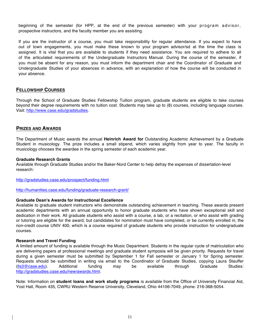beginning of the semester (for HPP, at the end of the previous semester) with your program advisor, prospective instructors, and the faculty member you are assisting.

If you are the instructor of a course, you must take responsibility for regular attendance. If you expect to have out of town engagements, you must make these known to your program advisor/sd at the time the class is assigned. It is vital that you are available to students if they need assistance. You are required to adhere to all of the articulated requirements of the Undergraduate Instructors Manual. During the course of the semester, if you must be absent for any reason, you must inform the department chair and the Coordinator of Graduate and Undergraduate Studies of your absences in advance, with an explanation of how the course will be conducted in your absence.

# **FELLOWSHIP COURSES**

Through the School of Graduate Studies Fellowship Tuition program, graduate students are eligible to take courses beyond their degree requirements with no tuition cost. Students may take up to (8) courses, including language courses. Visit: http://www.case.edu/gradstudies.

## **PRIZES AND AWARDS**

The Department of Music awards the annual **Heinrich Award for** Outstanding Academic Achievement by a Graduate Student in musicology. The prize includes a small stipend, which varies slightly from year to year. The faculty in musicology chooses the awardee in the spring semester of each academic year.

#### **Graduate Research Grants**

Available through Graduate Studies and/or the Baker-Nord Center to help defray the expenses of dissertation-level research:

http://gradstudies.case.edu/prospect/funding.html

http://humanities.case.edu/funding/graduate-research-grant/

#### **Graduate Dean's Awards for Instructional Excellence**

Available to graduate student instructors who demonstrate outstanding achievement in teaching. These awards present academic departments with an annual opportunity to honor graduate students who have shown exceptional skill and dedication in their work. All graduate students who assist with a course, a lab, or a recitation, or who assist with grading or tutoring are eligible for the award, but candidates for nomination must have completed, or be currently enrolled in, the non-credit course UNIV 400, which is a course required of graduate students who provide instruction for undergraduate courses.

#### **Research and Travel Funding**

A limited amount of funding is available through the Music Department. Students in the regular cycle of matriculation who are delivering papers at professional meetings and graduate student symposia will be given priority. Requests for travel during a given semester must be submitted by September 1 for Fall semester or January 1 for Spring semester. Requests should be submitted in writing via email to the Coordinator of Graduate Studies, copying Laura Stauffer (lls3@case.edu). Additional funding may be available through Graduate Studies: http://gradstudies.case.edu/new/awards.html.

Note: Information on **student loans and work study programs** is available from the Office of University Financial Aid, Yost Hall, Room 435, CWRU Western Reserve University, Cleveland, Ohio 44106-7049, phone: 216-368-5054.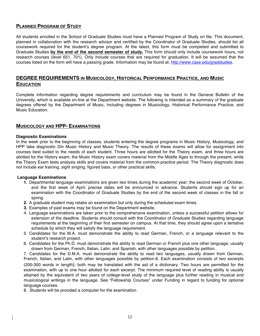# **PLANNED PROGRAM OF STUDY**

All students enrolled in the School of Graduate Studies must have a Planned Program of Study on file. This document, planned in collaboration with the research advisor and certified by the Coordinator of Graduate Studies, should list all coursework required for the student's degree program. At the latest, this form must be completed and submitted to Graduate Studies **by the end of the second semester of study.** This form should only include coursework hours, not research courses (level 651, 701). Only include courses that are required for graduation. It will be assumed that the courses listed on the form will have a passing grade. Information may be found at: http://www.case.edu/gradstudies.

# **DEGREE REQUIREMENTS IN MUSICOLOGY, HISTORICAL PERFORMANCE PRACTICE, AND MUSIC EDUCATION**

Complete information regarding degree requirements and curriculum may be found in the General Bulletin of the University, which is available on-line at the Department website. The following is intended as a summary of the graduate degrees offered by the Department of Music, including degrees in Musicology, Historical Performance Practice, and Music Education.

# **MUSICOLOGY AND HPP- EXAMINATIONS**

#### **Diagnostic Examinations**

In the week prior to the beginning of classes, students entering the degree programs in Music History, Musicology, and HPP take diagnostic Din Music History and Music Theory. The results of these exams will allow for assignment into courses best suited to the needs of each student. Three hours are allotted for the Theory exam, and three hours are allotted for the History exam; the Music History exam covers material from the Middle Ages to through the present, while the Theory Exam tests analysis skills and covers material from the common-practice period. The Theory diagnostic does not include ear training, sight singing, figured bass, or other practical skills.

#### **Language Examinations**

- **1.** Departmental language examinations are given two times during the academic year: the second week of October, and the first week of April; precise dates will be announced in advance. Students should sign up for an examination with the Coordinator of Graduate Studies by the end of the second week of classes in the fall or spring.
- **2.** A graduate student may retake an examination but only during the scheduled exam times.
- **3.** Examples of past exams may be found on the Department website.
- 4. Language examinations are taken prior to the comprehensive examination, unless a successful petition allows for extension of the deadline. Students should consult with the Coordinator of Graduate Studies regarding language requirements at the beginning of their first semester on campus. At that time, they should agree upon a tentative schedule by which they will satisfy the language requirement.
- 5. Candidates for the M.A. must demonstrate the ability to read German, French, or a language relevant to the student's research project.
- 6. Candidates for the Ph.D. must demonstrate the ability to read German or French plus one other language, usually drawn from German, French, Italian, Latin, and Spanish, with other languages possible by petition.

7. Candidates for the D.M.A. must demonstrate the ability to read two languages, usually drawn from German, French, Italian, and Latin, with other languages possible by petition.8. Each examination consists of two excerpts (200-300 words in length); both may be translated with the aid of a dictionary. Two hours are permitted for the examination, with up to one hour allotted for each excerpt. The minimum required level of reading ability is usually attained by the equivalent of two years of college-level study of the language plus further reading in musical and musicological writings in the language. See "Fellowship Courses" under Funding in regard to funding for optional language courses.

8. Students will be provided a computer for the examination.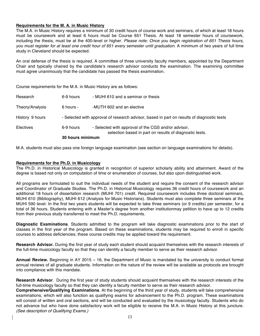## **Requirements for the M. A. in Music History**

The M.A. in Music History requires a minimum of 30 credit hours of course work and seminars, of which at least 18 hours must be coursework and at least 6 hours must be Course 651 Thesis. At least 18 semester hours of coursework, including the thesis, must be at the 400-level or higher. *Please note: Once you begin registration of 651 Thesis hours, you must register for at least one credit hour of 651 every semester until graduation.* A minimum of two years of full time study in Cleveland should be expected.

An oral defense of the thesis is required. A committee of three university faculty members, appointed by the Department Chair and typically chaired by the candidate's research advisor conducts the examination. The examining committee must agree unanimously that the candidate has passed the thesis examination.

Course requirements for the M.A. in Music History are as follows:

|                 | 30 hours minimum |                                                                                                                |
|-----------------|------------------|----------------------------------------------------------------------------------------------------------------|
| Electives       | 6-9 hours        | - Selected with approval of the CGS and/or advisor,<br>selection based in part on results of diagnostic tests. |
| History 9 hours |                  | - Selected with approval of research advisor, based in part on results of diagnostic tests                     |
| Theory/Analysis | 6 hours -        | -MUTH 602 and an elective                                                                                      |
| Research        | 6-9 hours        | - MUHI 610 and a seminar or thesis                                                                             |

M.A. students must also pass one foreign language examination (see section on language examinations for details).

### **Requirements for the Ph.D. in Musicology**

The Ph.D. in Historical Musicology is granted in recognition of superior scholarly ability and attainment. Award of the degree is based not only on computation of time or enumeration of courses, but also upon distinguished work.

All programs are formulated to suit the individual needs of the student and require the consent of the research advisor and Coordinator of Graduate Studies. The Ph.D. in Historical Musicology requires 36 credit hours of coursework and an additional 18 hours of dissertation research (MUHI 701) credit. Required coursework includes three doctoral seminars, MUHI 610 (Bibliography), MUHI 612 (Analysis for Music Historians). Students must also complete three seminars at the MUHI 590 level. In the first two years students will be expected to take three seminars (or 9 credits) per semester, for a total of 36 hours. Students entering with a Master's degree from another institutionmay petition to have up to 12 credits from their previous study transferred to meet the Ph.D. requirements.

**Diagnostic Examinations**. Students admitted to the program will take diagnostic examinations prior to the start of classes in the first year of the program. Based on these examinations, students may be required to enroll in specific courses to address deficiencies; these course credits may be applied toward the requirement.

**Research Advisor.** During the first year of study each student should acquaint themselves with the research interests of the full-time musicology faculty so that they can identify a faculty member to serve as their research advisor.

**Annual Review.** Beginning in AY 2015 – 16, the Department of Music is mandated by the university to conduct formal annual reviews of all graduate students. Information on the nature of the review will be available as protocols are brought into compliance with this mandate.

**Research Advisor**. During the first year of study students should acquaint themselves with the research interests of the full-time musicology faculty so that they can identity a faculty member to serve as their research advisor.

**Comprehensive/Qualifying Examinations**. At the beginning of the third year of study, students will take comprehensive examinations, which will also function as qualifying exams for advancement to the Ph.D. program. These examinations will consist of written and oral sections, and will be conducted and evaluated by the musicology faculty. Students who do not advance but who have done satisfactory work will be eligible to receive the M.A. in Music History at this juncture. *(See description of Qualifying Exams.)*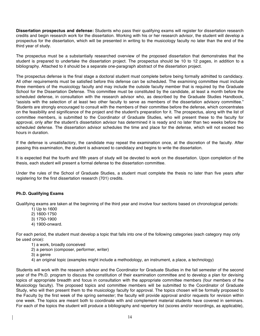**Dissertation prospectus and defense:** Students who pass their qualifying exams will register for dissertation research credits and begin research work for the dissertation. Working with his or her research advisor, the student will develop a prospectus for the dissertation, which will be presented in writing to the musicology faculty no later than the end of the third year of study.

The prospectus must be a substantially researched overview of the proposed dissertation that demonstrates that the student is prepared to undertake the dissertation project. The prospectus should be 10 to 12 pages, in addition to a bibliography. Attached to it should be a separate one-paragraph abstract of the dissertation project.

The prospectus defense is the final stage a doctoral student must complete before being formally admitted to candidacy. All other requirements must be satisfied before this defense can be scheduled. The examining committee must include three members of the musicology faculty and may include the outside faculty member that is required by the Graduate School for the Dissertation Defense. This committee must be constituted by the candidate, at least a month before the scheduled defense, in consultation with the research advisor who, as described by the Graduate Studies Handbook, "assists with the selection of at least two other faculty to serve as members of the dissertation advisory committee." Students are strongly encouraged to consult with the members of their committee before the defense, which concentrates on the feasibility and significance of the project and the student's preparation for it. The prospectus, along with the list of committee members, is submitted to the Coordinator of Graduate Studies, who will present these to the faculty for approval, only after the student's dissertation advisor has determined it is ready and no later than two weeks before the scheduled defense. The dissertation advisor schedules the time and place for the defense, which will not exceed two hours in duration.

If the defense is unsatisfactory, the candidate may repeat the examination once, at the discretion of the faculty. After passing this examination, the student is advanced to candidacy and begins to write the dissertation.

It is expected that the fourth and fifth years of study will be devoted to work on the dissertation. Upon completion of the thesis, each student will present a formal defense to the dissertation committee.

Under the rules of the School of Graduate Studies, a student must complete the thesis no later than five years after registering for the first dissertation research (701) credits.

#### **Ph.D. Qualifying Exams**

Qualifying exams are taken at the beginning of the third year and involve four sections based on chronological periods:

- 1) Up to 1600
- 2) 1600-1750
- 3) 1750-1900
- 4) 1900-onward.

For each period, the student must develop a topic that falls into one of the following categories (each category may only be used once):

- 1) a work, broadly conceived
- 2) a person (composer, performer, writer)
- 3) a genre
- 4) an original topic (examples might include a methodology, an instrument, a place, a technology)

Students will work with the research advisor and the Coordinator for Graduate Studies in the fall semester of the second year of the Ph.D. program to discuss the constitution of their examination committee and to develop a plan for devising topics of appropriate breadth and focus in consultation with the appropriate committee members (four members of the Musicology faculty). The proposed topics and committee members will be submitted to the Coordinator of Graduate Study, who will then present them to the musicology faculty for approval. The topics chosen will be formally proposed to the Faculty by the first week of the spring semester; the faculty will provide approval and/or requests for revision within one week. The topics are meant both to coordinate with and complement material students have covered in seminars. For each of the topics the student will produce a bibliography and repertory list (scores and/or recordings, as applicable),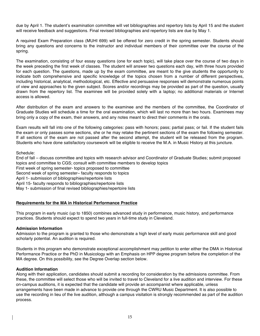due by April 1. The student's examination committee will vet bibliographies and repertory lists by April 15 and the student will receive feedback and suggestions. Final revised bibliographies and repertory lists are due by May 1.

A required Exam Preparation class (MUHI 699) will be offered for zero credit in the spring semester. Students should bring any questions and concerns to the instructor and individual members of their committee over the course of the spring.

The examination, consisting of four essay questions (one for each topic), will take place over the course of two days in the week preceding the first week of classes. The student will answer two questions each day, with three hours provided for each question. The questions, made up by the exam committee, are meant to the give students the opportunity to indicate both comprehensive and specific knowledge of the topics chosen from a number of different perspectives, including historical, analytical, methodological, etc. Effective and persuasive responses will demonstrate numerous points of view and approaches to the given subject. Scores and/or recordings may be provided as part of the question, usually drawn from the repertory list. The examinee will be provided solely with a laptop; no additional materials or Internet access is allowed.

After distribution of the exam and answers to the examinee and the members of the committee, the Coordinator of Graduate Studies will schedule a time for the oral examination, which will last no more than two hours. Examinees may bring only a copy of the exam, their answers, and any notes meant to direct their comments in the orals.

Exam results will fall into one of the following categories: pass with honors; pass; partial pass; or fail. If the student fails the exam or only passes some sections, she or he may retake the pertinent sections of the exam the following semester. If all sections of the exam are not passed after the second attempt, the student will be released from the program. Students who have done satisfactory coursework will be eligible to receive the M.A. in Music History at this juncture.

Schedule:

End of fall – discuss committee and topics with research advisor and Coordinator of Graduate Studies; submit proposed topics and committee to CGS; consult with committee members to develop topics First week of spring semester- topics proposed to committee Second week of spring semester– faculty responds to topics April 1- submission of bibliographies/repertoire lists April 15- faculty responds to bibliographies/repertoire lists May 1- submission of final revised bibliographies/repertoire lists

## **Requirements for the MA in Historical Performance Practice**

This program in early music (up to 1850) combines advanced study in performance, music history, and performance practices. Students should expect to spend two years in full-time study in Cleveland.

## **Admission Information**

Admission to the program is granted to those who demonstrate a high level of early music performance skill and good scholarly potential. An audition is required.

Students in this program who demonstrate exceptional accomplishment may petition to enter either the DMA in Historical Performance Practice or the PhD in Musicology with an Emphasis on HPP degree program before the completion of the MA degree. On this possibility, see the Degree Overlap section below.

#### **Audition Information**

Along with their application, candidates should submit a recording for consideration by the admissions committee. From these, the committee will select those who will be invited to travel to Cleveland for a live audition and interview. For these on-campus auditions, it is expected that the candidate will provide an accompanist where applicable, unless arrangements have been made in advance to provide one through the CWRU Music Department. It is also possible to use the recording in lieu of the live audition, although a campus visitation is strongly recommended as part of the audition process.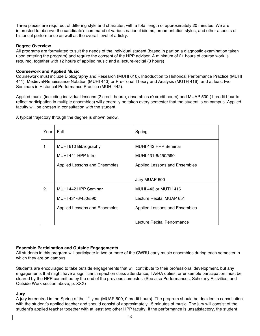Three pieces are required, of differing style and character, with a total length of approximately 20 minutes. We are interested to observe the candidate's command of various national idioms, ornamentation styles, and other aspects of historical performance as well as the overall level of artistry.

## **Degree Overview**

All programs are formulated to suit the needs of the individual student (based in part on a diagnostic examination taken upon entering the program) and require the consent of the HPP advisor. A minimum of 21 hours of course work is required, together with 12 hours of applied music and a lecture-recital (3 hours)

## **Coursework and Applied Music**

Coursework must include Bibliography and Research (MUHI 610), Introduction to Historical Performance Practice (MUHI 441), Medieval/Renaissance Notation (MUHI 443) or Pre-Tonal Theory and Analysis (MUTH 416), and at least two Seminars in Historical Performance Practice (MUHI 442).

Applied music (including individual lessons (2 credit hours), ensembles (0 credit hours) and MUAP 500 (1 credit hour to reflect participation in multiple ensembles) will generally be taken every semester that the student is on campus. Applied faculty will be chosen in consultation with the student.

A typical trajectory through the degree is shown below.

| Year | Fall                                                                        | Spring                                                                                                           |
|------|-----------------------------------------------------------------------------|------------------------------------------------------------------------------------------------------------------|
|      | MUHI 610 Bibliography<br>MUHI 441 HPP Intro                                 | MUHI 442 HPP Seminar<br>MUHI 431-6/450/590                                                                       |
|      | Applied Lessons and Ensembles                                               | Applied Lessons and Ensembles<br>Jury MUAP 600                                                                   |
| 2    | MUHI 442 HPP Seminar<br>MUHI 431-6/450/590<br>Applied Lessons and Ensembles | MUHI 443 or MUTH 416<br>Lecture Recital MUAP 651<br>Applied Lessons and Ensembles<br>Lecture Recital Performance |

## **Ensemble Participation and Outside Engagements**

All students in this program will participate in two or more of the CWRU early music ensembles during each semester in which they are on campus.

Students are encouraged to take outside engagements that will contribute to their professional development, but any engagements that might have a significant impact on class attendance, TA/RA duties, or ensemble participation must be cleared by the HPP committee by the end of the previous semester. (See also Performances, Scholarly Activities, and Outside Work section above, p. XXX)

## **Jury**

A jury is required in the Spring of the 1<sup>st</sup> year (MUAP 600, 0 credit hours). The program should be decided in consultation with the student's applied teacher and should consist of approximately 15 minutes of music. The jury will consist of the student's applied teacher together with at least two other HPP faculty. If the performance is unsatisfactory, the student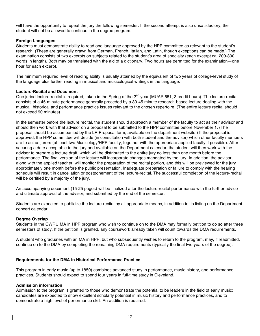will have the opportunity to repeat the jury the following semester. If the second attempt is also unsatisfactory, the student will not be allowed to continue in the degree program.

## **Foreign Languages**

Students must demonstrate ability to read one language approved by the HPP committee as relevant to the student's research. (These are generally drawn from German, French, Italian, and Latin, though exceptions can be made.) The examination consists of two excerpts on subjects related to the student's area of specialty (each excerpt ca. 200-300 words in length). Both may be translated with the aid of a dictionary. Two hours are permitted for the examination—one hour for each excerpt.

The minimum required level of reading ability is usually attained by the equivalent of two years of college-level study of the language plus further reading in musical and musicological writings in the language.

### **Lecture-Recital and Document**

One juried lecture-recital is required, taken in the Spring of the 2<sup>nd</sup> year (MUAP 651, 3 credit hours). The lecture-recital consists of a 45-minute performance generally preceded by a 30-45 minute research-based lecture dealing with the musical, historical and performance practice issues relevant to the chosen repertoire. (The entire lecture recital should not exceed 90 minutes).

In the semester before the lecture recital, the student should approach a member of the faculty to act as their advisor and should then work with that advisor on a proposal to be submitted to the HPP committee before November 1. (The proposal should be accompanied by the LR Proposal form, available on the department website.) If the proposal is approved, the HPP committee will decide (in consultation with both student and the advisor) which other faculty members are to act as jurors (at least two Musicology/HPP faculty, together with the appropriate applied faculty if possible). After securing a date acceptable to the jury and available on the Department calendar, the student will then work with the advisor to prepare a lecture draft, which will be distributed to the entire jury no less than one month before the performance. The final version of the lecture will incorporate changes mandated by the jury. In addition, the advisor, along with the applied teacher, will monitor the preparation of the recital portion, and this will be previewed for the jury approximately one month before the public presentation. Inadequate preparation or failure to comply with the hearing schedule will result in cancellation or postponement of the lecture-recital. The successful completion of the lecture-recital will be certified by a majority of the jury.

An accompanying document (15-25 pages) will be finalized after the lecture-recital performance with the further advice and ultimate approval of the advisor, and submitted by the end of the semester.

Students are expected to publicize the lecture-recital by all appropriate means, in addition to its listing on the Department concert calendar.

#### **Degree Overlap**

Students in the CWRU MA in HPP program who wish to continue on to the DMA may formally petition to do so after three semesters of study. If the petition is granted, any coursework already taken will count towards the DMA requirements.

A student who graduates with an MA in HPP, but who subsequently wishes to return to the program, may, if readmitted, continue on to the DMA by completing the remaining DMA requirements (typically the final two years of the degree).

## **Requirements for the DMA in Historical Performance Practice**

This program in early music (up to 1850) combines advanced study in performance, music history, and performance practices. Students should expect to spend four years in full-time study in Cleveland.

#### **Admission information**

Admission to the program is granted to those who demonstrate the potential to be leaders in the field of early music: candidates are expected to show excellent scholarly potential in music history and performance practices, and to demonstrate a high level of performance skill. An audition is required.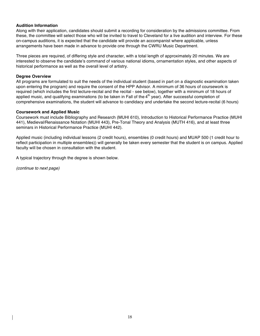## **Audition Information**

Along with their application, candidates should submit a recording for consideration by the admissions committee. From these, the committee will select those who will be invited to travel to Cleveland for a live audition and interview. For these on-campus auditions, it is expected that the candidate will provide an accompanist where applicable, unless arrangements have been made in advance to provide one through the CWRU Music Department.

Three pieces are required, of differing style and character, with a total length of approximately 20 minutes. We are interested to observe the candidate's command of various national idioms, ornamentation styles, and other aspects of historical performance as well as the overall level of artistry.

## **Degree Overview**

All programs are formulated to suit the needs of the individual student (based in part on a diagnostic examination taken upon entering the program) and require the consent of the HPP Advisor. A minimum of 36 hours of coursework is required (which includes the first lecture-recital and the recital - see below), together with a minimum of 18 hours of applied music, and qualifying examinations (to be taken in Fall of the  $4<sup>th</sup>$  year). After successful completion of comprehensive examinations, the student will advance to candidacy and undertake the second lecture-recital (6 hours)

### **Coursework and Applied Music**

Coursework must include Bibliography and Research (MUHI 610), Introduction to Historical Performance Practice (MUHI 441), Medieval/Renaissance Notation (MUHI 443), Pre-Tonal Theory and Analysis (MUTH 416), and at least three seminars in Historical Performance Practice (MUHI 442).

Applied music (including individual lessons (2 credit hours), ensembles (0 credit hours) and MUAP 500 (1 credit hour to reflect participation in multiple ensembles)) will generally be taken every semester that the student is on campus. Applied faculty will be chosen in consultation with the student.

A typical trajectory through the degree is shown below.

*(continue to next page)*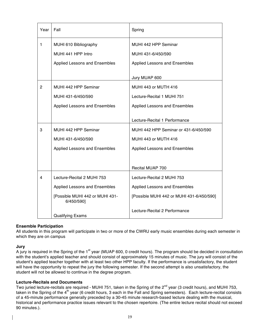| Year           | Fall                                          | Spring                                    |
|----------------|-----------------------------------------------|-------------------------------------------|
| 1              | MUHI 610 Bibliography                         | MUHI 442 HPP Seminar                      |
|                | MUHI 441 HPP Intro                            | MUHI 431-6/450/590                        |
|                | Applied Lessons and Ensembles                 | Applied Lessons and Ensembles             |
|                |                                               | Jury MUAP 600                             |
| $\overline{2}$ | MUHI 442 HPP Seminar                          | MUHI 443 or MUTH 416                      |
|                | MUHI 431-6/450/590                            | Lecture-Recital 1 MUHI 751                |
|                | Applied Lessons and Ensembles                 | Applied Lessons and Ensembles             |
|                |                                               | Lecture-Recital 1 Performance             |
| 3              | MUHI 442 HPP Seminar                          | MUHI 442 HPP Seminar or 431-6/450/590     |
|                | MUHI 431-6/450/590                            | MUHI 443 or MUTH 416                      |
|                | Applied Lessons and Ensembles                 | Applied Lessons and Ensembles             |
|                |                                               |                                           |
|                |                                               | Recital MUAP 700                          |
| 4              | Lecture-Recital 2 MUHI 753                    | Lecture-Recital 2 MUHI 753                |
|                | Applied Lessons and Ensembles                 | Applied Lessons and Ensembles             |
|                | [Possible MUHI 442 or MUHI 431-<br>6/450/590] | [Possible MUHI 442 or MUHI 431-6/450/590] |
|                | <b>Qualifying Exams</b>                       | Lecture-Recital 2 Performance             |

## **Ensemble Participation**

All students in this program will participate in two or more of the CWRU early music ensembles during each semester in which they are on campus

## **Jury**

A jury is required in the Spring of the 1<sup>st</sup> year (MUAP 600, 0 credit hours). The program should be decided in consultation with the student's applied teacher and should consist of approximately 15 minutes of music. The jury will consist of the student's applied teacher together with at least two other HPP faculty. If the performance is unsatisfactory, the student will have the opportunity to repeat the jury the following semester. If the second attempt is also unsatisfactory, the student will not be allowed to continue in the degree program.

## **Lecture-Recitals and Documents**

Two juried lecture-recitals are required - MUHI 751, taken in the Spring of the  $2^{nd}$  year (3 credit hours), and MUHI 753, taken in the Spring of the  $4<sup>th</sup>$  year (6 credit hours, 3 each in the Fall and Spring semesters). Each lecture-recital consists of a 45-minute performance generally preceded by a 30-45 minute research-based lecture dealing with the musical, historical and performance practice issues relevant to the chosen repertoire. (The entire lecture recital should not exceed 90 minutes.).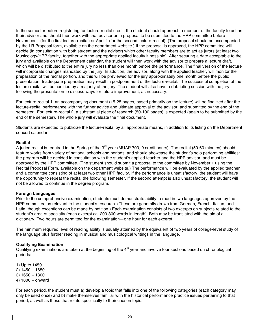In the semester before registering for lecture-recital credit, the student should approach a member of the faculty to act as their advisor and should then work with that advisor on a proposal to be submitted to the HPP committee before November 1 (for the first lecture-recital) or April 1 (for the second lecture-recital). (The proposal should be accompanied by the LR Proposal form, available on the department website.) If the proposal is approved, the HPP committee will decide (in consultation with both student and the advisor) which other faculty members are to act as jurors (at least two Musicology/HPP faculty, together with the appropriate applied faculty if possible). After securing a date acceptable to the jury and available on the Department calendar, the student will then work with the advisor to prepare a lecture draft, which will be distributed to the entire jury no less than one month before the performance. The final version of the lecture will incorporate changes mandated by the jury. In addition, the advisor, along with the applied teacher, will monitor the preparation of the recital portion, and this will be previewed for the jury approximately one month before the public presentation. Inadequate preparation may result in postponement of the lecture-recital. The successful completion of the lecture-recital will be certified by a majority of the jury. The student will also have a debriefing session with the jury following the presentation to discuss ways for future improvement, as necessary.

For lecture-recital 1, an accompanying document (15-25 pages, based primarily on the lecture) will be finalized after the lecture-recital performance with the further advice and ultimate approval of the advisor, and submitted by the end of the semester. For lecture-recital 2, a substantial piece of research (50-100 pages) is expected (again to be submitted by the end of the semester). The whole jury will evaluate the final document.

Students are expected to publicize the lecture-recital by all appropriate means, in addition to its listing on the Department concert calendar.

#### **Recital**

A juried recital is required in the Spring of the 3<sup>rd</sup> year (MUAP 700, 0 credit hours). The recital (50-60 minutes) should feature works from variety of national schools and periods, and should showcase the student's solo performing abilities: the program will be decided in consultation with the student's applied teacher and the HPP advisor, and must be approved by the HPP committee. (The student should submit a proposal to the committee by November 1 using the Recital Proposal Form, available on the department website.) The performance will be evaluated by the applied teacher and a committee consisting of at least two other HPP faculty. If the performance is unsatisfactory, the student will have the opportunity to repeat the recital the following semester. If the second attempt is also unsatisfactory, the student will not be allowed to continue in the degree program.

#### **Foreign Languages**

Prior to the comprehensive examination, students must demonstrate ability to read in two languages approved by the HPP committee as relevant to the student's research. (These are generally drawn from German, French, Italian, and Latin, though exceptions can be made by petition.) Each examination consists of two excerpts on subjects related to the student's area of specialty (each excerpt ca. 200-300 words in length). Both may be translated with the aid of a dictionary. Two hours are permitted for the examination—one hour for each excerpt.

The minimum required level of reading ability is usually attained by the equivalent of two years of college-level study of the language plus further reading in musical and musicological writings in the language.

#### **Qualifying Examination**

Qualifying examinations are taken at the beginning of the  $4<sup>th</sup>$  year and involve four sections based on chronological periods:

1) Up to 1450 2) 1450 – 1650 3) 1650 – 1800 4) 1800 – onward

For each period, the student must a) develop a topic that falls into one of the following categories (each category may only be used once) and b) make themselves familiar with the historical performance practice issues pertaining to that period, as well as those that relate specifically to their chosen topic.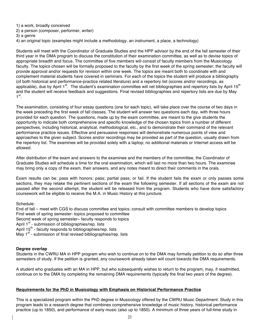1) a work, broadly conceived

2) a person (composer, performer, writer)

3) a genre

4) an original topic (examples might include a methodology, an instrument, a place, a technology)

Students will meet with the Coordinator of Graduate Studies and the HPP advisor by the end of the fall semester of their third year in the DMA program to discuss the constitution of their examination committee, as well as to devise topics of appropriate breadth and focus. The committee of five members will consist of faculty members from the Musicology faculty. The topics chosen will be formally proposed to the faculty by the first week of the spring semester; the faculty will provide approval and/or requests for revision within one week. The topics are meant both to coordinate with and complement material students have covered in seminars. For each of the topics the student will produce a bibliography (of both historical and performance-practice related literature) and a repertory list (scores and/or recordings, as applicable), due by April 1<sup>st</sup>. The student's examination committee will vet bibliographies and repertory lists by April 15<sup>th</sup> and the student will receive feedback and suggestions. Final revised bibliographies and repertory lists are due by May  $1<sup>st</sup>$ .

The examination, consisting of four essay questions (one for each topic), will take place over the course of two days in the week preceding the first week of fall classes. The student will answer two questions each day, with three hours provided for each question. The questions, made up by the exam committee, are meant to the give students the opportunity to indicate both comprehensive and specific knowledge of the chosen topics from a number of different perspectives, including historical, analytical, methodological, etc., and to demonstrate their command of the relevant performance practice issues. Effective and persuasive responses will demonstrate numerous points of view and approaches to the given subject. Scores and/or recordings may be provided as part of the question, usually drawn from the repertory list. The examinee will be provided solely with a laptop; no additional materials or Internet access will be allowed.

After distribution of the exam and answers to the examinee and the members of the committee, the Coordinator of Graduate Studies will schedule a time for the oral examination, which will last no more than two hours. The examinee may bring only a copy of the exam, their answers, and any notes meant to direct their comments in the orals.

Exam results can be: pass with honors; pass; partial pass; or fail. If the student fails the exam or only passes some sections, they may retake the pertinent sections of the exam the following semester. If all sections of the exam are not passed after the second attempt, the student will be released from the program. Students who have done satisfactory coursework will be eligible to receive the M.A. in Music History at this juncture.

Schedule:

End of fall – meet with CGS to discuss committee and topics; consult with committee members to develop topics First week of spring semester- topics proposed to committee Second week of spring semester– faculty responds to topics April 1<sup>st</sup> - submission of bibliographies/rep. lists April 15<sup>th</sup> - faculty responds to bibliographies/rep. lists May  $1^{st}$  - submission of final revised bibliographies/rep. lists

## **Degree overlap**

Students in the CWRU MA in HPP program who wish to continue on to the DMA may formally petition to do so after three semesters of study. If the petition is granted, any coursework already taken will count towards the DMA requirements.

A student who graduates with an MA in HPP, but who subsequently wishes to return to the program, may, if readmitted, continue on to the DMA by completing the remaining DMA requirements (typically the final two years of the degree).

## **Requirements for the PhD in Musicology with Emphasis on Historical Performance Practice**

This is a specialized program within the PhD degree in Musicology offered by the CWRU Music Department. Study in this program leads to a research degree that combines comprehensive knowledge of music history, historical performance practice (up to 1850), and performance of early music (also up to 1850). A minimum of three years of full-time study in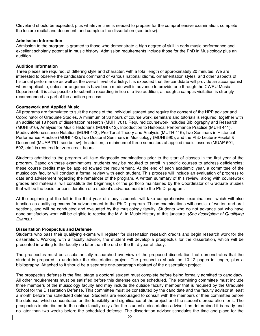Cleveland should be expected, plus whatever time is needed to prepare for the comprehensive examination, complete the lecture recital and document, and complete the dissertation (see below).

### **Admission Information**

Admission to the program is granted to those who demonstrate a high degree of skill in early music performance and excellent scholarly potential in music history. Admission requirements include those for the PhD in Musicology plus an audition.

### **Audition Information**

Three pieces are required, of differing style and character, with a total length of approximately 20 minutes. We are interested to observe the candidate's command of various national idioms, ornamentation styles, and other aspects of historical performance as well as the overall level of artistry. It is expected that the candidate will provide an accompanist where applicable, unless arrangements have been made well in advance to provide one through the CWRU Music Department. It is also possible to submit a recording in lieu of a live audition, although a campus visitation is strongly recommended as part of the audition process.

### **Coursework and Applied Music**

All programs are formulated to suit the needs of the individual student and require the consent of the HPP advisor and Coordinator of Graduate Studies. A minimum of 36 hours of course work, seminars and tutorials is required, together with an additional 18 hours of dissertation research (MUHI 701). Required coursework includes Bibliography and Research (MUHI 610), Analysis for Music Historians (MUHI 612), Introduction to Historical Performance Practice (MUHI 441), Medieval/Renaissance Notation (MUHI 443), Pre-Tonal Theory and Analysis (MUTH 416), two Seminars in Historical Performance Practice (MUHI 442), two Doctoral Seminars in Musicology (MUHI 590), and the PhD Lecture-Recital & Document (MUAP 751; see below). In addition, a minimum of three semesters of applied music lessons (MUAP 501, 502, etc.) is required for zero credit hours.

Students admitted to the program will take diagnostic examinations prior to the start of classes in the first year of the program. Based on these examinations, students may be required to enroll in specific courses to address deficiencies; these course credits may be applied toward the requirement. At the end of each academic year, a committee of the musicology faculty will conduct a formal review with each student. This process will include an evaluation of progress to date and advisement regarding the remainder of the program. A written summary of this review, along with coursework grades and materials, will constitute the beginnings of the portfolio maintained by the Coordinator of Graduate Studies that will be the basis for consideration of a student's advancement into the Ph.D. program.

At the beginning of the fall in the third year of study, students will take comprehensive examinations, which will also function as qualifying exams for advancement to the Ph.D. program. These examinations will consist of written and oral sections, and will be conducted and evaluated by the musicology faculty. Students who do not advance but who have done satisfactory work will be eligible to receive the M.A. in Music History at this juncture. *(See description of Qualifying Exams.)*

#### **Dissertation Prospectus and Defense**

Students who pass their qualifying exams will register for dissertation research credits and begin research work for the dissertation. Working with a faculty advisor, the student will develop a prospectus for the dissertation, which will be presented in writing to the faculty no later than the end of the third year of study.

The prospectus must be a substantially researched overview of the proposed dissertation that demonstrates that the student is prepared to undertake the dissertation project. The prospectus should be 10-12 pages in length, plus a bibliography. Attached to it should be a separate one-paragraph abstract of the dissertation project.

The prospectus defense is the final stage a doctoral student must complete before being formally admitted to candidacy. All other requirements must be satisfied before this defense can be scheduled. The examining committee must include three members of the musicology faculty and may include the outside faculty member that is required by the Graduate School for the Dissertation Defense. This committee must be constituted by the candidate and the faculty advisor at least a month before the scheduled defense. Students are encouraged to consult with the members of their committee before the defense, which concentrates on the feasibility and significance of the project and the student's preparation for it. The prospectus is distributed to the entire faculty only after the student's dissertation advisor has determined it is ready and no later than two weeks before the scheduled defense. The dissertation advisor schedules the time and place for the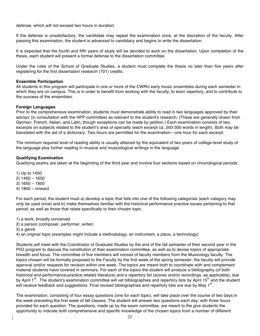defense, which will not exceed two hours in duration.

If the defense is unsatisfactory, the candidate may repeat the examination once, at the discretion of the faculty. After passing this examination, the student is advanced to candidacy and begins to write the dissertation.

It is expected that the fourth and fifth years of study will be devoted to work on the dissertation. Upon completion of the thesis, each student will present a formal defense to the dissertation committee.

Under the rules of the School of Graduate Studies, a student must complete the thesis no later than five years after registering for the first dissertation research (701) credits.

### **Ensemble Participation**

All students in this program will participate in one or more of the CWRU early music ensembles during each semester in which they are on campus. This is in order to benefit from working with the faculty, to learn repertory, and to contribute to the success of the ensembles.

### **Foreign Languages**

Prior to the comprehensive examination, students must demonstrate ability to read in two languages approved by their advisor (in consultation with the HPP committee) as relevant to the student's research. (These are generally drawn from German, French, Italian, and Latin, though exceptions can be made by petition.) Each examination consists of two excerpts on subjects related to the student's area of specialty (each excerpt ca. 200-300 words in length). Both may be translated with the aid of a dictionary. Two hours are permitted for the examination—one hour for each excerpt.

The minimum required level of reading ability is usually attained by the equivalent of two years of college-level study of the language plus further reading in musical and musicological writings in the language.

## **Qualifying Examination**

Qualifying exams are taken at the beginning of the third year and involve four sections based on chronological periods:

- 1) Up to 1450 2) 1450 – 1650 3) 1650 – 1800
- 4) 1800 onward

For each period, the student must a) develop a topic that falls into one of the following categories (each category may only be used once) and b) make themselves familiar with the historical performance practice issues pertaining to that period, as well as those that relate specifically to their chosen topic.

- 1) a work, broadly conceived
- 2) a person (composer, performer, writer)
- 3) a genre

4) an original topic (examples might include a methodology, an instrument, a place, a technology)

Students will meet with the Coordinator of Graduate Studies by the end of the fall semester of their second year in the PhD program to discuss the constitution of their examination committee, as well as to devise topics of appropriate breadth and focus. The committee of five members will consist of faculty members from the Musicology faculty. The topics chosen will be formally proposed to the Faculty by the first week of the spring semester; the faculty will provide approval and/or requests for revision within one week. The topics are meant both to coordinate with and complement material students have covered in seminars. For each of the topics the student will produce a bibliography (of both historical and performance-practice related literature) and a repertory list (scores and/or recordings, as applicable), due by April 1<sup>st</sup>. The student's examination committee will vet bibliographies and repertory lists by April 15<sup>th</sup> and the student will receive feedback and suggestions. Final revised bibliographies and repertory lists are due by May 1<sup>st</sup>.

The examination, consisting of four essay questions (one for each topic), will take place over the course of two days in the week preceding the first week of fall classes. The student will answer two questions each day, with three hours provided for each question. The questions, made up by the exam committee, are meant to the give students the opportunity to indicate both comprehensive and specific knowledge of the chosen topics from a number of different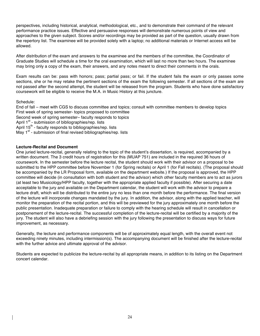perspectives, including historical, analytical, methodological, etc., and to demonstrate their command of the relevant performance practice issues. Effective and persuasive responses will demonstrate numerous points of view and approaches to the given subject. Scores and/or recordings may be provided as part of the question, usually drawn from the repertory list. The examinee will be provided solely with a laptop; no additional materials or Internet access will be allowed.

After distribution of the exam and answers to the examinee and the members of the committee, the Coordinator of Graduate Studies will schedule a time for the oral examination, which will last no more than two hours. The examinee may bring only a copy of the exam, their answers, and any notes meant to direct their comments in the orals.

Exam results can be: pass with honors; pass; partial pass; or fail. If the student fails the exam or only passes some sections, she or he may retake the pertinent sections of the exam the following semester. If all sections of the exam are not passed after the second attempt, the student will be released from the program. Students who have done satisfactory coursework will be eligible to receive the M.A. in Music History at this juncture.

Schedule:

End of fall – meet with CGS to discuss committee and topics; consult with committee members to develop topics First week of spring semester- topics proposed to committee Second week of spring semester– faculty responds to topics April  $1^{st}$  - submission of bibliographies/rep. lists April 15<sup>th</sup> - faculty responds to bibliographies/rep. lists May  $1^{st}$  - submission of final revised bibliographies/rep. lists

# **Lecture-Recital and Document**

One juried lecture-recital, generally relating to the topic of the student's dissertation, is required, accompanied by a written document. The 3 credit hours of registration for this (MUAP 751) are included in the required 36 hours of coursework. In the semester before the lecture recital, the student should work with their advisor on a proposal to be submitted to the HPP committee before November 1 (for Spring recitals) or April 1 (for Fall recitals). (The proposal should be accompanied by the LR Proposal form, available on the department website.) If the proposal is approved, the HPP committee will decide (in consultation with both student and the advisor) which other faculty members are to act as jurors (at least two Musicology/HPP faculty, together with the appropriate applied faculty if possible). After securing a date acceptable to the jury and available on the Department calendar, the student will work with the advisor to prepare a lecture draft, which will be distributed to the entire jury no less than one month before the performance. The final version of the lecture will incorporate changes mandated by the jury. In addition, the advisor, along with the applied teacher, will monitor the preparation of the recital portion, and this will be previewed for the jury approximately one month before the public presentation. Inadequate preparation or failure to comply with the hearing schedule will result in cancellation or postponement of the lecture-recital. The successful completion of the lecture-recital will be certified by a majority of the jury. The student will also have a debriefing session with the jury following the presentation to discuss ways for future improvement, as necessary.

Generally, the lecture and performance components will be of approximately equal length, with the overall event not exceeding ninety minutes, including intermission(s). The accompanying document will be finished after the lecture-recital with the further advice and ultimate approval of the advisor.

Students are expected to publicize the lecture-recital by all appropriate means, in addition to its listing on the Department concert calendar.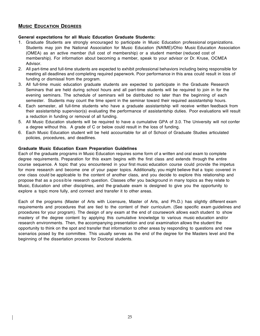# **MUSIC EDUCATION DEGREES**

## **General expectations for all Music Education Graduate Students:**

- 1. Graduate Students are strongly encouraged to participate in Music Education professional organizations. Students may join the National Association for Music Education (NAfME)/Ohio Music Education Association (OMEA) as an active member (full cost of membership) or a student member (reduced cost of membership). For information about becoming a member, speak to your advisor or Dr. Kruse, OCMEA Advisor.
- 2. All part-time and full-time students are expected to exhibit professional behaviors including being responsible for meeting all deadlines and completing required paperwork. Poor performance in this area could result in loss of funding or dismissal from the program.
- 3. All full-time music education graduate students are expected to participate in the Graduate Research Seminars that are held during school hours and all part-time students will be required to join in for the evening seminars. The schedule of seminars will be distributed no later than the beginning of each semester. Students may count the time spent in the seminar toward their required assistantship hours.
- 4. Each semester, all full-time students who have a graduate assistantship will receive written feedback from their assistantship supervisor(s) evaluating the performance of assistantship duties. Poor evaluations will result a reduction in funding or removal of all funding.
- 5. All Music Education students will be required to have a cumulative GPA of 3.0. The University will not confer a degree without this. A grade of C or below could result in the loss of funding.
- 6. Each Music Education student will be held accountable for all of School of Graduate Studies articulated policies, procedures, and deadlines.

## **Graduate Music Education Exam Preparation Guidelines**

Each of the graduate programs in Music Education requires some form of a written and oral exam to complete degree requirements. Preparation for this exam begins with the first class and extends through the entire course sequence. A topic that you encountered in your first music education course could provide the impetus for more research and become one of your paper topics. Additionally, you might believe that a topic covered in one class could be applicable to the content of another class, and you decide to explore this relationship and propose that as a possible research question. Classes offer you background in many topics as they relate to Music, Education and other disciplines, and the graduate exam is designed to give you the opportunity to explore a topic more fully, and connect and transfer it to other areas.

Each of the programs (Master of Arts with Licensure, Master of Arts, and Ph.D.) has slightly different exam requirements and procedures that are tied to the content of their curriculum. (See specific exam guidelines and procedures for your program). The design of any exam at the end of coursework allows each student to show mastery of the degree content by applying this cumulative knowledge to various music education and/or research environments. Then, the accompanying presentation and oral examination allows the student the opportunity to think on the spot and transfer that information to other areas by responding to questions and new scenarios posed by the committee. This usually serves as the end of the degree for the Masters level and the beginning of the dissertation process for Doctoral students.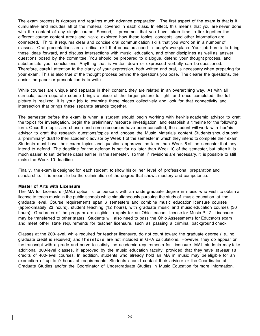The exam process is rigorous and requires much advance preparation. The first aspect of the exam is that is it cumulative and includes all of the material covered in each class. In effect, this means that you are never done with the content of any single course. Second, it presumes that you have taken time to link together the different course content areas and have explored how these topics, concepts, and other information are connected. Third, it requires clear and concise oral communication skills that you work on in a number of classes. Oral presentations are a critical skill that educators need in today's workplace. Your job here is to bring these ideas forward, and discuss intersections with music, education, and other disciplines as well as answer questions posed by the committee. You should be prepared to dialogue, defend your thought process, and substantiate your conclusions. Anything that is written down or expressed verbally can be questioned. Therefore, careful attention to the clarity of your expression, both written and oral, is necessary when preparing for your exam. This is also true of the thought process behind the questions you pose. The clearer the questions, the easier the paper or presentation is to write.

While courses are unique and separate in their content, they are related in an overarching way. As with all curricula, each separate course brings a piece of the larger picture to light, and once completed, the full picture is realized. It is your job to examine these pieces collectively and look for that connectivity and intersection that brings these separate strands together.

The semester before the exam is when a student should begin working with her/his academic advisor to craft the topics for investigation, begin the preliminary resource investigation, and establish a timeline for the following term. Once the topics are chosen and some resources have been consulted, the student will work with her/his advisor to craft the research questions/topics and choose the Music Materials content. Students should submit a "preliminary" draft to their academic advisor by Week 1 of the semester in which they intend to complete their exam. Students must have their exam topics and questions approved no later than Week 5 of the semester that they intend to defend. The deadline for the defense is set for no later than Week 10 of the semester, but often it is much easier to set defense dates earlier in the semester, so that if revisions are necessary, it is possible to still make the Week 10 deadline.

Finally, the exam is designed for each student to show his or her level of professional preparation and scholarship. It is meant to be the culmination of the degree that shows mastery and competence.

#### **Master of Arts with Licensure**

The MA for Licensure (MAL) option is for persons with an undergraduate degree in music who wish to obtain a license to teach music in the public schools while simultaneously pursuing the study of music education at the graduate level. Course requirements span 6 semesters and combine music education licensure courses (approximately 23 hours), student teaching (12 hours), with graduate music and music education courses (30 hours). Graduates of the program are eligible to apply for an Ohio teacher license for Music P-12. Licensure may be transferred to other states. Students will also need to pass the Ohio Assessments for Educators exam and meet other state requirements for teacher licensure, such as passing a criminal background check.

Classes at the 200-level, while required for teacher licensure, do not count toward the graduate degree (i.e., no graduate credit is received) and therefore are not included in GPA calculations. However, they do appear on the transcript with a grade and serve to satisfy the academic requirements for Licensure. MAL students may take additional 300-level classes, if approved by the music education faculty, provided that they have *at least* 18 credits of 400-level courses. In addition, students who already hold an MA in music may be eligible for an exemption of up to 9 hours of requirements. Students should contact their advisor or the Coordinator of Graduate Studies and/or the Coordinator of Undergraduate Studies in Music Education for more information.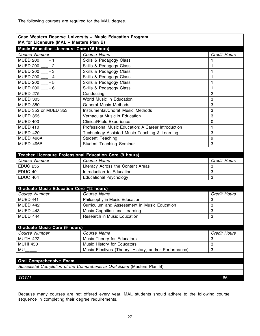| Course Number<br>Course Name<br>Skills & Pedagogy Class<br>$-1$<br>Skills & Pedagogy Class<br>$-2$<br>Skills & Pedagogy Class<br>Skills & Pedagogy Class<br>Skills & Pedagogy Class<br>$-6$<br>Skills & Pedagogy Class<br>Conducting<br>World Music in Education<br><b>General Music Methods</b><br>Instrumental/Choral Music Methods<br><b>Vernacular Music in Education</b><br><b>Clinical/Field Experience</b><br>Professional Music Education: A Career Introduction<br>Technology Assisted Music Teaching & Learning<br>Student Teaching<br>Student Teaching Seminar<br>Course Name<br>Literacy Across the Content Areas<br>Introduction to Education<br><b>Educational Psychology</b><br>Course Name<br>Philosophy in Music Education<br>Curriculum and Assessment in Music Education<br>Music Cognition and Learning<br><b>Research in Music Education</b><br>Course Name | <b>Credit Hours</b><br>1<br>1<br>1 |
|----------------------------------------------------------------------------------------------------------------------------------------------------------------------------------------------------------------------------------------------------------------------------------------------------------------------------------------------------------------------------------------------------------------------------------------------------------------------------------------------------------------------------------------------------------------------------------------------------------------------------------------------------------------------------------------------------------------------------------------------------------------------------------------------------------------------------------------------------------------------------------|------------------------------------|
| <b>MUED 200</b><br><b>MUED 200</b><br>MUED 200 - 3<br>MUED 200 ___ - 4<br>MUED 200 - 5<br><b>MUED 200</b><br><b>MUED 275</b><br><b>MUED 305</b><br><b>MUED 350</b><br>MUED 352 or MUED 353<br><b>MUED 355</b><br><b>MUED 400</b><br><b>MUED 410</b><br><b>MUED 420</b><br>MUED 496A<br>MUED 496B<br>Teacher Licensure Professional Education Core (9 hours)<br>Course Number<br><b>EDUC 255</b><br><b>EDUC 401</b><br><b>EDUC 404</b><br><b>Graduate Music Education Core (12 hours)</b><br>Course Number<br>MUED 441<br><b>MUED 442</b><br><b>MUED 443</b><br>MUED 444<br><b>Graduate Music Core (9 hours)</b><br>Course Number                                                                                                                                                                                                                                                 |                                    |
|                                                                                                                                                                                                                                                                                                                                                                                                                                                                                                                                                                                                                                                                                                                                                                                                                                                                                  |                                    |
|                                                                                                                                                                                                                                                                                                                                                                                                                                                                                                                                                                                                                                                                                                                                                                                                                                                                                  |                                    |
|                                                                                                                                                                                                                                                                                                                                                                                                                                                                                                                                                                                                                                                                                                                                                                                                                                                                                  |                                    |
|                                                                                                                                                                                                                                                                                                                                                                                                                                                                                                                                                                                                                                                                                                                                                                                                                                                                                  | 1                                  |
|                                                                                                                                                                                                                                                                                                                                                                                                                                                                                                                                                                                                                                                                                                                                                                                                                                                                                  | 1                                  |
|                                                                                                                                                                                                                                                                                                                                                                                                                                                                                                                                                                                                                                                                                                                                                                                                                                                                                  | 1                                  |
|                                                                                                                                                                                                                                                                                                                                                                                                                                                                                                                                                                                                                                                                                                                                                                                                                                                                                  | $\overline{c}$                     |
|                                                                                                                                                                                                                                                                                                                                                                                                                                                                                                                                                                                                                                                                                                                                                                                                                                                                                  | 3                                  |
|                                                                                                                                                                                                                                                                                                                                                                                                                                                                                                                                                                                                                                                                                                                                                                                                                                                                                  | 3                                  |
|                                                                                                                                                                                                                                                                                                                                                                                                                                                                                                                                                                                                                                                                                                                                                                                                                                                                                  | 3                                  |
|                                                                                                                                                                                                                                                                                                                                                                                                                                                                                                                                                                                                                                                                                                                                                                                                                                                                                  | 3                                  |
|                                                                                                                                                                                                                                                                                                                                                                                                                                                                                                                                                                                                                                                                                                                                                                                                                                                                                  | $\mathbf 0$                        |
|                                                                                                                                                                                                                                                                                                                                                                                                                                                                                                                                                                                                                                                                                                                                                                                                                                                                                  | 1                                  |
|                                                                                                                                                                                                                                                                                                                                                                                                                                                                                                                                                                                                                                                                                                                                                                                                                                                                                  | 3                                  |
|                                                                                                                                                                                                                                                                                                                                                                                                                                                                                                                                                                                                                                                                                                                                                                                                                                                                                  | 9                                  |
|                                                                                                                                                                                                                                                                                                                                                                                                                                                                                                                                                                                                                                                                                                                                                                                                                                                                                  | 3                                  |
|                                                                                                                                                                                                                                                                                                                                                                                                                                                                                                                                                                                                                                                                                                                                                                                                                                                                                  |                                    |
|                                                                                                                                                                                                                                                                                                                                                                                                                                                                                                                                                                                                                                                                                                                                                                                                                                                                                  |                                    |
|                                                                                                                                                                                                                                                                                                                                                                                                                                                                                                                                                                                                                                                                                                                                                                                                                                                                                  | Credit Hours                       |
|                                                                                                                                                                                                                                                                                                                                                                                                                                                                                                                                                                                                                                                                                                                                                                                                                                                                                  | 3                                  |
|                                                                                                                                                                                                                                                                                                                                                                                                                                                                                                                                                                                                                                                                                                                                                                                                                                                                                  | 3                                  |
|                                                                                                                                                                                                                                                                                                                                                                                                                                                                                                                                                                                                                                                                                                                                                                                                                                                                                  | 3                                  |
|                                                                                                                                                                                                                                                                                                                                                                                                                                                                                                                                                                                                                                                                                                                                                                                                                                                                                  |                                    |
|                                                                                                                                                                                                                                                                                                                                                                                                                                                                                                                                                                                                                                                                                                                                                                                                                                                                                  |                                    |
|                                                                                                                                                                                                                                                                                                                                                                                                                                                                                                                                                                                                                                                                                                                                                                                                                                                                                  | <b>Credit Hours</b>                |
|                                                                                                                                                                                                                                                                                                                                                                                                                                                                                                                                                                                                                                                                                                                                                                                                                                                                                  | 3                                  |
|                                                                                                                                                                                                                                                                                                                                                                                                                                                                                                                                                                                                                                                                                                                                                                                                                                                                                  | 3                                  |
|                                                                                                                                                                                                                                                                                                                                                                                                                                                                                                                                                                                                                                                                                                                                                                                                                                                                                  | 3                                  |
|                                                                                                                                                                                                                                                                                                                                                                                                                                                                                                                                                                                                                                                                                                                                                                                                                                                                                  | 3                                  |
|                                                                                                                                                                                                                                                                                                                                                                                                                                                                                                                                                                                                                                                                                                                                                                                                                                                                                  |                                    |
|                                                                                                                                                                                                                                                                                                                                                                                                                                                                                                                                                                                                                                                                                                                                                                                                                                                                                  |                                    |
|                                                                                                                                                                                                                                                                                                                                                                                                                                                                                                                                                                                                                                                                                                                                                                                                                                                                                  | <b>Credit Hours</b>                |
| Music Theory for Educators<br><b>MUTH 422</b>                                                                                                                                                                                                                                                                                                                                                                                                                                                                                                                                                                                                                                                                                                                                                                                                                                    | 3                                  |
| <b>MUHI 430</b><br>Music History for Educators                                                                                                                                                                                                                                                                                                                                                                                                                                                                                                                                                                                                                                                                                                                                                                                                                                   | 3                                  |
| Music Electives (Theory, History, and/or Performance)<br>MU                                                                                                                                                                                                                                                                                                                                                                                                                                                                                                                                                                                                                                                                                                                                                                                                                      | 3                                  |
|                                                                                                                                                                                                                                                                                                                                                                                                                                                                                                                                                                                                                                                                                                                                                                                                                                                                                  |                                    |
| <b>Oral Comprehensive Exam</b>                                                                                                                                                                                                                                                                                                                                                                                                                                                                                                                                                                                                                                                                                                                                                                                                                                                   |                                    |

Because many courses are not offered every year, MAL students should adhere to the following course sequence in completing their degree requirements.

 $\overline{\phantom{a}}$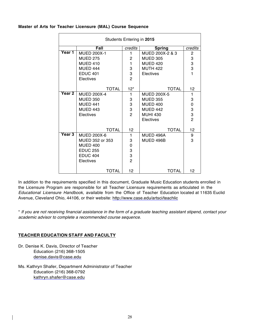### **Master of Arts for Teacher Licensure (MAL) Course Sequence**

| Students Entering in 2015 |                                  |                |                    |                |  |  |  |
|---------------------------|----------------------------------|----------------|--------------------|----------------|--|--|--|
|                           | Fall<br><b>Spring</b><br>credits |                |                    |                |  |  |  |
| Year 1                    | <b>MUED 200X-1</b>               | 1              | MUED 200X-2 & 3    | $\overline{c}$ |  |  |  |
|                           | <b>MUED 275</b>                  | $\overline{c}$ | <b>MUED 305</b>    | 3              |  |  |  |
|                           | <b>MUED 410</b>                  | 1              | <b>MUED 420</b>    | 3              |  |  |  |
|                           | <b>MUED 444</b>                  | 3              | <b>MUTH 422</b>    | 3              |  |  |  |
|                           | <b>EDUC 401</b>                  | 3              | Electives          | $\mathbf{1}$   |  |  |  |
|                           | Electives                        | $\overline{2}$ |                    |                |  |  |  |
|                           |                                  |                |                    |                |  |  |  |
|                           | <b>TOTAL</b>                     | $12*$          | <b>TOTAL</b>       | 12             |  |  |  |
| <b>Year 2</b>             | <b>MUED 200X-4</b>               | 1              | <b>MUED 200X-5</b> | 1              |  |  |  |
|                           | <b>MUED 350</b>                  | 3              | <b>MUED 355</b>    | 3              |  |  |  |
|                           | <b>MUED 441</b>                  | 3              | <b>MUED 400</b>    | $\mathbf 0$    |  |  |  |
|                           | <b>MUED 443</b>                  | 3              | <b>MUED 442</b>    | 3<br>3         |  |  |  |
|                           | Electives                        | $\overline{2}$ | <b>MUHI 430</b>    |                |  |  |  |
|                           |                                  |                | Electives          | $\overline{c}$ |  |  |  |
|                           |                                  |                |                    |                |  |  |  |
|                           | <b>TOTAL</b>                     | 12             | <b>TOTAL</b>       | 12             |  |  |  |
| <b>Year 3</b>             | <b>MUED 200X-6</b>               | $\mathbf{1}$   | MUED 496A          | 9              |  |  |  |
|                           | MUED 352 or 353                  | 3              | MUED 496B          | 3              |  |  |  |
|                           | <b>MUED 400</b>                  | $\mathbf 0$    |                    |                |  |  |  |
|                           | <b>EDUC 255</b>                  | 3              |                    |                |  |  |  |
|                           | <b>EDUC 404</b>                  | 3              |                    |                |  |  |  |
|                           | Electives                        | $\overline{2}$ |                    |                |  |  |  |
|                           | <b>TOTAL</b>                     | 12             | <b>TOTAL</b>       | 12             |  |  |  |

In addition to the requirements specified in this document, Graduate Music Education students enrolled in the Licensure Program are responsible for all Teacher Licensure requirements as articulated in the *Educational Licensure Handbook*, available from the Office of Teacher Education located at 11635 Euclid Avenue, Cleveland Ohio, 44106, or their website: http://www.case.edu/artsci/teachlic

\* *If you are not receiving financial assistance in the form of a graduate teaching assistant stipend, contact your academic advisor to complete a recommended course sequence*.

# **TEACHER EDUCATION STAFF AND FACULTY**

Dr. Denise K. Davis, Director of Teacher Education (216) 368-1505 denise.davis@case.edu

Ms. Kathryn Shafer, Department Administrator of Teacher Education (216) 368-0792 kathryn.shafer@case.edu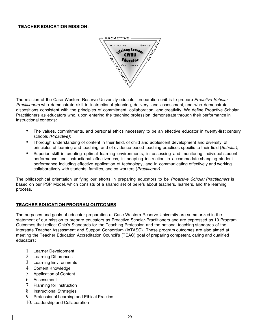## **TEACHER EDUCATION MISSION:**



The mission of the Case Western Reserve University educator preparation unit is to prepare *Proactive Scholar Practitioners* who demonstrate skill in instructional planning, delivery, and assessment, and who demonstrate dispositions consistent with the principles of commitment, collaboration, and creativity. We define Proactive Scholar Practitioners as educators who, upon entering the teaching profession, demonstrate through their performance in instructional contexts:

- The values, commitments, and personal ethics necessary to be an effective educator in twenty-first century schools *(Proactive)*;
- Thorough understanding of content in their field, of child and adolescent development and diversity, of principles of learning and teaching, and of evidence-based teaching practices specific to their field (*Scholar)*;
- Superior skill in creating optimal learning environments, in assessing and monitoring individual student performance and instructional effectiveness, in adapting instruction to accommodate changing student performance including effective application of technology, and in communicating effectively and working collaboratively with students, families, and co-workers (*Practitioner)*.

The philosophical orientation unifying our efforts in preparing educators to be *Proactive Scholar Practitioners* is based on our PSP Model, which consists of a shared set of beliefs about teachers, learners, and the learning process.

## **TEACHER EDUCATION PROGRAM OUTCOMES**

The purposes and goals of educator preparation at Case Western Reserve University are summarized in the statement of our mission to prepare educators as Proactive Scholar-Practitioners and are expressed as 10 Program Outcomes that reflect Ohio's Standards for the Teaching Profession and the national teaching standards of the Interstate Teacher Assessment and Support Consortium (InTASC). These program outcomes are also aimed at meeting the Teacher Education Accreditation Council's (TEAC) goal of preparing competent, caring and qualified educators:

- 1. Learner Development
- 2. Learning Differences
- 3. Learning Environments
- 4. Content Knowledge
- 5. Application of Content
- 6. Assessment
- 7. Planning for Instruction
- 8. Instructional Strategies
- 9. Professional Learning and Ethical Practice
- 10. Leadership and Collaboration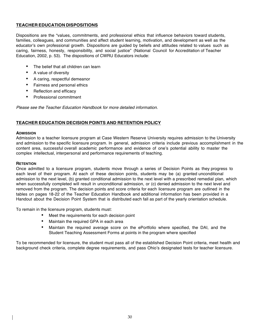## **TEACHER EDUCATION DISPOSITIONS**

Dispositions are the "values, commitments, and professional ethics that influence behaviors toward students, families, colleagues, and communities and affect student learning, motivation, and development as well as the educator's own professional growth. Dispositions are guided by beliefs and attitudes related to values such as caring, fairness, honesty, responsibility, and social justice" (National Council for Accreditation of Teacher Education, 2002, p. 53). The dispositions of CWRU Educators include:

- The belief that all children can learn
- A value of diversity
- A caring, respectful demeanor
- Fairness and personal ethics
- Reflection and efficacy
- Professional commitment

*Please see the Teacher Education Handbook for more detailed information.*

# **TEACHER EDUCATION DECISION POINTS AND RETENTION POLICY**

### **ADMISSION**

Admission to a teacher licensure program at Case Western Reserve University requires admission to the University and admission to the specific licensure program. In general, admission criteria include previous accomplishment in the content area, successful overall academic performance and evidence of one's potential ability to master the complex intellectual, interpersonal and performance requirements of teaching.

### **RETENTION**

Once admitted to a licensure program, students move through a series of Decision Points as they progress to each level of their program. At each of these decision points, students may be (a) granted unconditional admission to the next level, (b) granted conditional admission to the next level with a prescribed remedial plan, which when successfully completed will result in unconditional admission, or (c) denied admission to the next level and removed from the program. The decision points and score criteria for each licensure program are outlined in the tables on pages 18-22 of the Teacher Education Handbook and additional information has been provided in a Handout about the Decision Point System that is distributed each fall as part of the yearly orientation schedule.

To remain in the licensure program, students must:

- Meet the requirements for each decision point
- Maintain the required GPA in each area
- Maintain the required average score on the ePortfolio where specified, the DAI, and the Student Teaching Assessment Forms at points in the program where specified

To be recommended for licensure, the student must pass all of the established Decision Point criteria, meet health and background check criteria, complete degree requirements, and pass Ohio's designated tests for teacher licensure.

30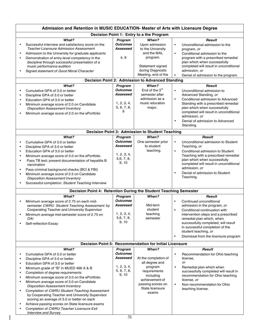|                                                                                                                | Admission and Retention in MUSIC EDUCATION- Master of Arts with Licensure Degree                                                                                                                                                                                                                                                                                                                                                                                                                                                                                                                                                                                                                                                              |                                                                                                                                                              |                                                                                                                                                                                                                                                                                                  |                                                                    |                                                                                                                                                                                                                                                                                                                                                                                                                                                                                                                                                                                                                     |
|----------------------------------------------------------------------------------------------------------------|-----------------------------------------------------------------------------------------------------------------------------------------------------------------------------------------------------------------------------------------------------------------------------------------------------------------------------------------------------------------------------------------------------------------------------------------------------------------------------------------------------------------------------------------------------------------------------------------------------------------------------------------------------------------------------------------------------------------------------------------------|--------------------------------------------------------------------------------------------------------------------------------------------------------------|--------------------------------------------------------------------------------------------------------------------------------------------------------------------------------------------------------------------------------------------------------------------------------------------------|--------------------------------------------------------------------|---------------------------------------------------------------------------------------------------------------------------------------------------------------------------------------------------------------------------------------------------------------------------------------------------------------------------------------------------------------------------------------------------------------------------------------------------------------------------------------------------------------------------------------------------------------------------------------------------------------------|
|                                                                                                                | Decision Point 1: Entry to a the Program                                                                                                                                                                                                                                                                                                                                                                                                                                                                                                                                                                                                                                                                                                      |                                                                                                                                                              |                                                                                                                                                                                                                                                                                                  |                                                                    |                                                                                                                                                                                                                                                                                                                                                                                                                                                                                                                                                                                                                     |
| $\bullet$<br>$\bullet$<br>$\bullet$<br>$\bullet$<br>$\bullet$<br>$\bullet$<br>$\bullet$                        | What?<br>Successful interview and satisfactory score on the<br><b>Teacher Licensure Admission Assessment</b><br>Admission to the University for graduate applicants<br>Demonstration of entry-level competency in the<br>discipline through successful presentation of a<br>music performance audition<br>Signed statement of Good Moral Character<br>What?<br>Cumulative GPA of 3.0 or better<br>Discipline GPA of 3.0 or better<br>Education GPA of 3.0 or better                                                                                                                                                                                                                                                                           | Program<br><b>Outcomes</b><br>Assessed<br>4, 9<br>Program<br><b>Outcomes</b><br>Assessed<br>1, 2, 3, 4,                                                      | When?<br>Upon admission<br>to the University<br>and the MAL<br>program.<br>Statement signed<br>during Diagnostic<br>Meeting, end of the<br><b>Decision Point 2: Admission to Advanced Standing</b><br>When?<br>End of the $3^{\text{rd}}$<br>semester after<br>admission as a<br>music education | $\bullet$<br>$\bullet$<br>$\bullet$<br>$\bullet$<br>$\bullet$      | <b>Result</b><br>Unconditional admission to the<br>program, or<br>Conditional admission to the<br>program with a prescribed remedial<br>plan which when successfully<br>completed will result in unconditional<br>admission, or<br>Denial of admission to the program.<br><b>Result</b><br>Unconditional admission to<br>Advanced Standing, or<br>Conditional admission to Advanced<br>Standing with a prescribed remedial                                                                                                                                                                                          |
| ٠                                                                                                              | Minimum average score of 2.0 on Candidate<br><b>Disposition Assessment Inventory</b><br>Minimum average score of 2.0 on the ePortfolio                                                                                                                                                                                                                                                                                                                                                                                                                                                                                                                                                                                                        | 5, 6, 7, 8,<br>9                                                                                                                                             | major.                                                                                                                                                                                                                                                                                           | $\bullet$                                                          | plan which when successfully<br>completed will result in unconditional<br>admission, or<br>Denial of admission to Advanced<br>Standing.                                                                                                                                                                                                                                                                                                                                                                                                                                                                             |
|                                                                                                                |                                                                                                                                                                                                                                                                                                                                                                                                                                                                                                                                                                                                                                                                                                                                               |                                                                                                                                                              | Decision Point 3: Admission to Student Teaching                                                                                                                                                                                                                                                  |                                                                    |                                                                                                                                                                                                                                                                                                                                                                                                                                                                                                                                                                                                                     |
| $\bullet$<br>$\bullet$<br>$\bullet$<br>$\bullet$<br>$\bullet$<br>$\bullet$<br>٠<br>$\bullet$                   | What?<br>Cumulative GPA of 3.0 or better<br>Discipline GPA of 3.0 or better<br>Education GPA of 3.0 or better<br>Minimum average score of 3.0 on the ePortfolio<br>Pass TB test; present documentation of hepatitis B<br>vaccination<br>Pass criminal background checks (BCI & FBI)<br>Minimum average score of 2.5 on Candidate<br><b>Disposition Assessment Inventory</b><br>Successful completion: Student Teaching Interview<br>Decision Point 4: Retention During the Student Teaching Semester<br>What?<br>Minimum average score of 2.75 on each mid-<br>semester CWRU Student Teaching Assessment by<br>Cooperating Teacher and University Supervisor<br>Minimum average mid-semester score of 2.75 on<br>DAI<br>Self-reflection Essay | Program<br><b>Outcomes</b><br>Assessed<br>1, 2, 3, 4,<br>5,6, 7, 8,<br>9, 10<br>Program<br><b>Outcomes</b><br>Assessed<br>1, 2, 3, 4,<br>5,6, 7, 8,<br>9, 10 | When?<br>One semester prior<br>to student<br>teaching.<br>When?<br>Mid-term<br>student<br>teaching<br>semester                                                                                                                                                                                   | $\bullet$<br>$\bullet$<br>$\bullet$<br>$\bullet$<br>$\bullet$<br>٠ | <b>Result</b><br>Unconditional admission to Student<br>Teaching, or<br>Conditional admission to Student<br>Teaching with a prescribed remedial<br>plan which when successfully<br>completed will result in unconditional<br>admission, or<br>Denial of admission to Student<br>Teaching.<br><b>Result</b><br>Continued unconditional<br>admission in the program, or<br>Conditional continuation with<br>intervention steps and a prescribed<br>remedial plan which, when<br>successfully completed, will result<br>in successful completion of the<br>student teaching, or<br>Dismissal from the licensure program |
|                                                                                                                | <b>Decision Point 5: Recommendation for Initial Licensure</b>                                                                                                                                                                                                                                                                                                                                                                                                                                                                                                                                                                                                                                                                                 |                                                                                                                                                              |                                                                                                                                                                                                                                                                                                  |                                                                    |                                                                                                                                                                                                                                                                                                                                                                                                                                                                                                                                                                                                                     |
| $\bullet$<br>$\bullet$<br>$\bullet$<br>$\bullet$<br>$\bullet$<br>$\bullet$<br>$\bullet$<br>$\bullet$<br>٠<br>٠ | What?<br>Cumulative GPA of 3.0 or better<br>Discipline GPA of 3.0 or better<br>Education GPA of 3.0 or better<br>Minimum grade of "B" in MUED 496 A & B<br>Completion of degree requirements<br>Minimum average score of 3.0 on the ePortfolio<br>Minimum average score of 3.0 on Candidate<br><b>Disposition Assessment Inventory</b><br>Completion of CWRU Student Teaching Assessment<br>by Cooperating Teacher and University Supervisor<br>scoring an average of 3.0 or better on each<br>Achieve passing scores on State licensure exams<br>Completion of CWRU Teacher Licensure Exit<br><b>Interview and Survey</b>                                                                                                                    | Program<br><b>Outcomes</b><br>Assessed<br>1, 2, 3, 4,<br>5, 6, 7, 8,<br>9, 10                                                                                | When?<br>At the completion of<br>all degree and<br>program<br>requirements<br>including<br>achievement of<br>passing scores on<br>State licensure<br>exams                                                                                                                                       | $\bullet$<br>$\bullet$<br>$\bullet$                                | <b>Result</b><br>Recommendation for Ohio teaching<br>license,<br>or<br>Remedial plan which when<br>successfully completed will result in<br>recommendation for Ohio teaching<br>license, or<br>Non-recommendation for Ohio<br>teaching license.                                                                                                                                                                                                                                                                                                                                                                     |

 $\overline{1}$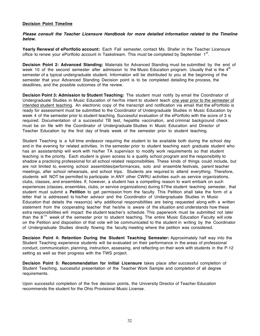### **Decision Point Timeline**

*Please consult the Teacher Licensure Handbook for more detailed information related to the Timeline below.*

**Yearly Renewal of ePortfolio account:** Each Fall semester, contact Ms. Shafer in the Teacher Licensure office to renew your ePortfolio account in Taskstream. This must be completed by September  $1<sup>st</sup>$ .

**Decision Point 2: Advanced Standing:** Materials for Advanced Standing must be submitted by the end of week 10 of the second semester after admission to the Music Education program. Usually that is the  $4<sup>th</sup>$ semester of a typical undergraduate student. Information will be distributed to you at the beginning of the semester that your Advanced Standing Decision point is to be completed detailing the process, the deadlines, and the possible outcomes of the review.

**Decision Point 3: Admission to Student Teaching:** The student must notify by email the Coordinator of Undergraduate Studies in Music Education of her/his intent to student teach one year prior to the semester of intended student teaching. An electronic copy of the transcript and notification via email that the ePortfolio is ready for assessment must be submitted to the Coordinator of Undergraduate Studies in Music Education by week 4 of the semester prior to student teaching. Successful evaluation of the ePortfolio with the score of 3 is required. Documentation of a successful TB test, hepatitis vaccination, and criminal background check must be on file with the Coordinator of Undergraduate Studies in Music Education and Director of Teacher Education by the first day of finals week of the semester prior to student teaching.

Student Teaching is a full time endeavor requiring the student to be available both during the school day and in the evening for related activities. In the semester prior to student teaching each graduate student who has an assistantship will work with his/her TA supervisor to modify work requirements so that student teaching is the priority. Each student is given access to a quality school program and the responsibility to shadow a practicing professional for all school related responsibilities. These kinds of things could include, but are not limited to, evening school assemblies/performances, solo and ensemble festivals, parent teacher meetings, after school rehearsals, and school trips. Students are required to attend everything. Therefore, students will NOT be permitted to participate in ANY other CWRU activities such as service organizations, clubs, classes, and ensembles. If, however, a student has a compelling reason to want embark on such experiences (classes, ensembles, clubs, or service organizations) during 57the student teaching semester, that student must submit a **Petition** to get permission from the faculty. This Petition shall take the form of a letter that is addressed to his/her advisor and the Coordinator of Undergraduate Studies in Music Education that details the reason(s) why additional responsibilities are being requested along with a written statement from the cooperating teacher that he/she is aware of the situation and understands how these extra responsibilities will impact the student teacher's schedule. This paperwork must be submitted not later than the  $8<sup>th</sup>$  week of the semester prior to student teaching. The entire Music Education Faculty will vote on the Petition and disposition of that vote will be communicated to the student in writing by the Coordinator of Undergraduate Studies directly flowing the faculty meeting where the petition was considered.

**Decision Point 4: Retention During the Student Teaching Semester:** Approximately half way into the Student Teaching experience students will be evaluated on their performance in the areas of professional conduct, communication, planning, instruction, assessing, and reflecting on their work with students in the P-12 setting as well as their progress with the TWS project.

**Decision Point 5: Recommendation for Initial Licensure** takes place after successful completion of Student Teaching, successful presentation of the Teacher Work Sample and completion of all degree requirements.

Upon successful completion of the five decision points, the University Director of Teacher Education recommends the student for the Ohio Provisional Music License.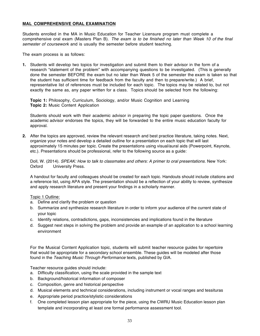## **MAL COMPREHENSIVE ORAL EXAMINATION**

Students enrolled in the MA in Music Education for Teacher Licensure program must complete a comprehensive oral exam (Masters Plan B). *The exam is to be finished no later than Week 10 of the final semester of coursework* and is usually the semester before student teaching.

The exam process is as follows:

**1.** Students will develop two topics for investigation and submit them to their advisor in the form of a research "statement of the problem" with accompanying questions to be investigated. (This is generally done the semester BEFORE the exam but no later than Week 5 of the semester the exam is taken so that the student has sufficient time for feedback from the faculty and then to prepare/write.) A brief, representative list of references must be included for each topic. The topics may be related to, but not exactly the same as, any paper written for a class. Topics should be selected from the following:

**Topic 1:** Philosophy, Curriculum, Sociology, and/or Music Cognition and Learning **Topic 2:** Music Content Application

Students should work with their academic advisor in preparing the topic paper questions. Once the academic advisor endorses the topics, they will be forwarded to the entire music education faculty for approval.

**2.** After the topics are approved, review the relevant research and best practice literature, taking notes. Next, organize your notes and develop a detailed outline for a presentation on each topic that will last approximately 15 minutes per topic. Create the presentations using visual/aural aids (Powerpoint, Keynote, etc.). Presentations should be professional, refer to the following source as a guide:

Doll, W. (2014). *SPEAK: How to talk to classmates and others: A primer to oral presentations.* New York: Oxford University Press.

A handout for faculty and colleagues should be created for each topic. Handouts should include citations and a reference list, using APA style. The presentation should be a reflection of your ability to review, synthesize and apply research literature and present your findings in a scholarly manner.

## Topic 1 Outline:

- a. Define and clarify the problem or question
- b. Summarize and synthesize research literature in order to inform your audience of the current state of your topic
- c. Identify relations, contradictions, gaps, inconsistencies and implications found in the literature
- d. Suggest next steps in solving the problem and provide an example of an application to a school learning environment

For the Musical Content Application topic, students will submit teacher resource guides for repertoire that would be appropriate for a secondary school ensemble. These guides will be modeled after those found in the *Teaching Music Through Performance* texts, published by GIA.

Teacher resource guides should include:

- a. Difficulty classification, using the scale provided in the sample text
- b. Background/historical information of composer
- c. Composition, genre and historical perspective
- d. Musical elements and technical considerations, including instrument or vocal ranges and tessituras
- e. Appropriate period practice/stylistic considerations
- f. One completed lesson plan appropriate for the piece, using the CWRU Music Education lesson plan template and incorporating at least one formal performance assessment tool.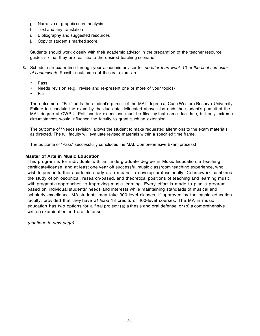- g. Narrative or graphic score analysis
- h. Text and any translation
- i. Bibliography and suggested resources
- j. Copy of student's marked score

Students should work closely with their academic advisor in the preparation of the teacher resource guides so that they are realistic to the desired teaching scenario.

- **3.** Schedule an exam time through your academic advisor for *no later than week 10 of the final semester of coursework*. Possible outcomes of the oral exam are:
	- Pass
	- Needs revision (e.g., revise and re-present one or more of your topics)
	- Fail

The outcome of "Fail" ends the student's pursuit of the MAL degree at Case Western Reserve University. Failure to schedule the exam by the due date delineated above also ends the student's pursuit of the MAL degree at CWRU. Petitions for extensions must be filed by that same due date, but only extreme circumstances would influence the faculty to grant such an extension.

The outcome of "Needs revision" allows the student to make requested alterations to the exam materials, as directed. The full faculty will evaluate revised materials within a specified time frame.

The outcome of "Pass" successfully concludes the MAL Comprehensive Exam process!

## **Master of Arts in Music Education**

This program is for individuals with an undergraduate degree in Music Education, a teaching certificate/license, and at least one year off successful music classroom teaching experience, who wish to pursue further academic study as a means to develop professionally. Coursework combines the study of philosophical, research-based, and theoretical positions of teaching and learning music with pragmatic approaches to improving music learning. Every effort is made to plan a program based on individual students' needs and interests while maintaining standards of musical and scholarly excellence. MA students may take 300-level classes, if approved by the music education faculty, provided that they have *at least* 18 credits of 400-level courses. The MA in music education has two options for a final project: (a) a thesis and oral defense, or (b) a comprehensive written examination and oral defense.

*(continue to next page)*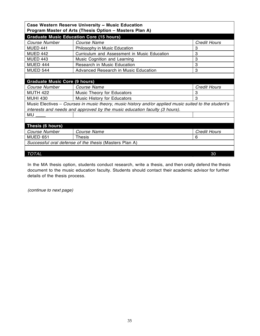| Case Western Reserve University ~ Music Education<br>Program Master of Arts (Thesis Option - Masters Plan A) |                                                                                                       |                     |  |  |
|--------------------------------------------------------------------------------------------------------------|-------------------------------------------------------------------------------------------------------|---------------------|--|--|
|                                                                                                              | <b>Graduate Music Education Core (15 hours)</b>                                                       |                     |  |  |
| Course Number                                                                                                | Course Name                                                                                           | <b>Credit Hours</b> |  |  |
| <b>MUED 441</b>                                                                                              | Philosophy in Music Education                                                                         | 3                   |  |  |
| <b>MUED 442</b>                                                                                              | Curriculum and Assessment in Music Education                                                          | 3                   |  |  |
| <b>MUED 443</b>                                                                                              | Music Cognition and Learning                                                                          | 3                   |  |  |
| <b>MUED 444</b>                                                                                              | Research in Music Education                                                                           | 3                   |  |  |
| <b>MUED 544</b>                                                                                              | <b>Advanced Research in Music Education</b>                                                           | 3                   |  |  |
|                                                                                                              |                                                                                                       |                     |  |  |
| <b>Graduate Music Core (9 hours)</b>                                                                         |                                                                                                       |                     |  |  |
| Course Number                                                                                                | Course Name                                                                                           | <b>Credit Hours</b> |  |  |
| <b>MUTH 422</b>                                                                                              | <b>Music Theory for Educators</b>                                                                     | 3                   |  |  |
| <b>MUHI 430</b>                                                                                              | Music History for Educators                                                                           | 3                   |  |  |
|                                                                                                              | Music Electives – Courses in music theory, music history and/or applied music suited to the student's |                     |  |  |
| interests and needs and approved by the music education faculty (3 hours).                                   |                                                                                                       |                     |  |  |
| MU                                                                                                           |                                                                                                       |                     |  |  |
|                                                                                                              |                                                                                                       |                     |  |  |
| Thesis (6 hours)                                                                                             |                                                                                                       |                     |  |  |
| Course Number                                                                                                | <b>Course Name</b>                                                                                    | <b>Credit Hours</b> |  |  |
| <b>MUED 651</b>                                                                                              | <b>Thesis</b>                                                                                         | 6                   |  |  |
| Successful oral defense of the thesis (Masters Plan A)                                                       |                                                                                                       |                     |  |  |
|                                                                                                              |                                                                                                       |                     |  |  |
| <b>TOTAL</b>                                                                                                 |                                                                                                       | 30                  |  |  |

In the MA thesis option, students conduct research, write a thesis, and then orally defend the thesis document to the music education faculty. Students should contact their academic advisor for further details of the thesis process.

*(continue to next page)*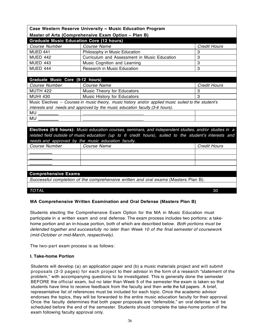| Case Western Reserve University ~ Music Education Program                                              |                                                                                                        |                     |  |  |
|--------------------------------------------------------------------------------------------------------|--------------------------------------------------------------------------------------------------------|---------------------|--|--|
|                                                                                                        | Master of Arts (Comprehensive Exam Option - Plan B)                                                    |                     |  |  |
| <b>Graduate Music Education Core (12 hours)</b>                                                        |                                                                                                        |                     |  |  |
| Course Number                                                                                          | Course Name                                                                                            | <b>Credit Hours</b> |  |  |
| <b>MUED 441</b>                                                                                        | Philosophy in Music Education                                                                          | 3                   |  |  |
| <b>MUED 442</b>                                                                                        | Curriculum and Assessment in Music Education                                                           | 3                   |  |  |
| <b>MUED 443</b>                                                                                        | Music Cognition and Learning                                                                           | 3                   |  |  |
| MUED 444                                                                                               | Research in Music Education                                                                            | 3                   |  |  |
|                                                                                                        |                                                                                                        |                     |  |  |
| Graduate Music Core (9-12 hours)                                                                       |                                                                                                        |                     |  |  |
| Course Number                                                                                          | Course Name                                                                                            | <b>Credit Hours</b> |  |  |
| <b>MUTH 422</b>                                                                                        | <b>Music Theory for Educators</b>                                                                      | 3                   |  |  |
| <b>MUHI 430</b>                                                                                        | Music History for Educators                                                                            | 3                   |  |  |
| Music Electives - Courses in music theory, music history and/or applied music suited to the student's  |                                                                                                        |                     |  |  |
| interests and needs and approved by the music education faculty (3-6 hours).                           |                                                                                                        |                     |  |  |
|                                                                                                        | <u> 1989 - John Stone, mars et al. (</u> † 1920)                                                       |                     |  |  |
| MU                                                                                                     |                                                                                                        |                     |  |  |
|                                                                                                        |                                                                                                        |                     |  |  |
| Electives (6-9 hours): Music education courses, seminars, and independent studies, and/or studies in a |                                                                                                        |                     |  |  |
|                                                                                                        | related field outside of music education (up to 6 credit hours), suited to the student's interests and |                     |  |  |
| needs and approved by the music education faculty.                                                     |                                                                                                        |                     |  |  |
| Course Number                                                                                          | Course Name                                                                                            | <b>Credit Hours</b> |  |  |
|                                                                                                        |                                                                                                        |                     |  |  |
|                                                                                                        |                                                                                                        |                     |  |  |
|                                                                                                        |                                                                                                        |                     |  |  |
|                                                                                                        |                                                                                                        |                     |  |  |
| <b>Comprehensive Exams</b>                                                                             |                                                                                                        |                     |  |  |
|                                                                                                        | Successful completion of the comprehensive written and oral exams (Masters Plan B).                    |                     |  |  |

# *TOTAL* 30

# **MA Comprehensive Written Examination and Oral Defense (Masters Plan B)**

Students electing the Comprehensive Exam Option for the MA in Music Education must participate in a written exam and oral defense. The exam process includes two portions: a takehome portion and an in-house portion, both of which are described below. *Both portions must be defended together and successfully no later than Week 10 of the final semester of coursework (mid-October or mid-March, respectively)*.

The two-part exam process is as follows:

## **I. Take-home Portion**

Students will develop (a) an application paper and (b) a music materials project and will submit proposals (2-3 pages) for each project to their advisor in the form of a research "statement of the problem," with accompanying questions to be investigated. This is generally done the semester BEFORE the official exam, but no later than Week 5 of the semester the exam is taken so that students have time to receive feedback from the faculty and then write the full papers. A brief, representative list of references must be included for each topic. Once the academic advisor endorses the topics, they will be forwarded to the entire music education faculty for their approval. Once the faculty determines that both paper proposals are "defensible," an oral defense will be scheduled before the end of the semester. Students should complete the take-home portion of the exam following faculty approval only.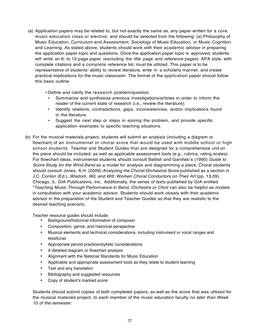- (a) Application papers may be related to, but not exactly the same as, any paper written for a core music education class or elective, and should be selected from the following: (a) Philosophy of Music Education, Curriculum and Assessment, Sociology of Music Education, or Music Cognition and Learning. As stated above, students should work with their academic advisor in preparing the application paper topic and questions. Once the application paper topic is approved, students will write an 8- to 12-page paper (excluding the title page and reference pages). APA style, with complete citations and a complete reference list, must be utilized. This paper is to be representative of students' ability to review literature, write in a scholarly manner, and create practical implications for the music classroom. The format of the application paper should follow this basic outline:
	- Define and clarify the research problem/question.
		- Summarize and synthesize previous investigations/articles in order to inform the reader of the current state of research (i.e., review the literature).
	- Identify relations, contradictions, gaps, inconsistencies, and/or implications found in the literature.
	- Suggest the next step or steps in solving the problem, *and* provide specific application examples to specific teaching situations.
- (b) For the musical materials project, students will submit an analysis (including a diagram or flowchart) of an instrumental or choral score that would be used with middle school or high school students. Teacher and Student Guides that are designed for a comprehensive unit on the piece should be included, as well as applicable assessment tools (e.g., rubrics, rating scales). For flowchart ideas, instrumental students should consult Battisti and Garofalo's (1990) *Guide to Score Study for the Wind Band* as a model for analysis and diagramming a piece. Choral students should consult Jones, A.H. (2009) *Analyzing the Choral-Orchestral Score* published as a section in J.C. Conlon (Ed.), *Wisdom, Wit, and Will: Women Choral Conductors on Their Art* (pp. 13-39). Chicago, IL: GIA Publications, Inc. Additionally, the series of texts published by GIA entitled "*Teaching Music Through Performance in Band, Orchestra or Choir* can also be helpful as models in consultation with your academic advisor. Students should work closely with their academic advisor in the preparation of the Student and Teacher Guides so that they are realistic to the desired teaching scenario.

Teacher resource guides should include:

- Background/historical information of composer
- Composition, genre, and historical perspective
- Musical elements and technical considerations, including instrument or vocal ranges and tessituras
- Appropriate period practice/stylistic considerations
- A detailed diagram or flowchart analysis
- Alignment with the National Standards for Music Education
- Applicable and appropriate assessment tools as they relate to student learning
- Text and any translation
- Bibliography and suggested resources
- Copy of student's marked score

Students should submit copies of both completed papers, as well as the score that was utilized for the musical materials project, to each member of the music education faculty *no later than Week 10 of the semester*.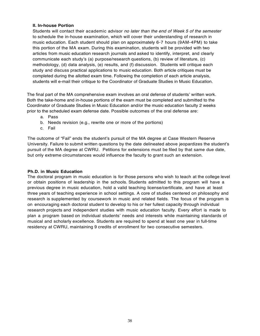## **II. In-house Portion**

Students will contact their academic advisor *no later than the end of Week 5 of the semester*  to schedule the in-house examination, which will cover their understanding of research in music education. Each student should plan on approximately 6-7 hours (9AM-4PM) to take this portion of the MA exam. During this examination, students will be provided with two articles from music education research journals and asked to identify, interpret, and clearly communicate each study's (a) purpose/research questions, (b) review of literature, (c) methodology, (d) data analysis, (e) results, and (f) discussion. Students will critique each study and discuss practical applications to music education. Both article critiques must be completed during the allotted exam time. Following the completion of each article analysis, students will e-mail their critique to the Coordinator of Graduate Studies in Music Education.

The final part of the MA comprehensive exam involves an oral defense of students' written work. Both the take-home and in-house portions of the exam must be completed and submitted to the Coordinator of Graduate Studies in Music Education and/or the music education faculty 2 weeks prior to the scheduled exam defense date. Possible outcomes of the oral defense are:

- a. Pass
- b. Needs revision (e.g., rewrite one or more of the portions)
- c. Fail

The outcome of "Fail" ends the student's pursuit of the MA degree at Case Western Reserve University. Failure to submit written questions by the date delineated above jeopardizes the student's pursuit of the MA degree at CWRU. Petitions for extensions must be filed by that same due date, but only extreme circumstances would influence the faculty to grant such an extension.

#### **Ph.D. in Music Education**

The doctoral program in music education is for those persons who wish to teach at the college level or obtain positions of leadership in the schools. Students admitted to this program will have a previous degree in music education, hold a valid teaching license/certificate, and have at least three years of teaching experience in school settings. A core of studies centered on philosophy and research is supplemented by coursework in music and related fields. The focus of the program is on encouraging each doctoral student to develop to his or her fullest capacity through individual research projects and independent studies with music education faculty. Every effort is made to plan a program based on individual students' needs and interests while maintaining standards of musical and scholarly excellence. Students are required to spend at least one year in full-time residency at CWRU, maintaining 9 credits of enrollment for two consecutive semesters.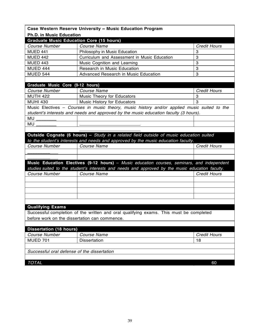|                                                 | Case Western Reserve University ~ Music Education Program                                        |                     |  |  |
|-------------------------------------------------|--------------------------------------------------------------------------------------------------|---------------------|--|--|
| <b>Ph.D. in Music Education</b>                 |                                                                                                  |                     |  |  |
| <b>Graduate Music Education Core (15 hours)</b> |                                                                                                  |                     |  |  |
| Course Number                                   | Course Name                                                                                      | <b>Credit Hours</b> |  |  |
| <b>MUED 441</b>                                 | Philosophy in Music Education                                                                    | 3                   |  |  |
| <b>MUED 442</b>                                 | Curriculum and Assessment in Music Education                                                     | 3                   |  |  |
| <b>MUED 443</b>                                 | Music Cognition and Learning                                                                     | 3                   |  |  |
| <b>MUED 444</b>                                 | Research in Music Education                                                                      | 3                   |  |  |
| <b>MUED 544</b>                                 | <b>Advanced Research in Music Education</b>                                                      | 3                   |  |  |
|                                                 |                                                                                                  |                     |  |  |
| Graduate Music Core (9-12 hours)                |                                                                                                  |                     |  |  |
| Course Number                                   | Course Name                                                                                      | <b>Credit Hours</b> |  |  |
| <b>MUTH 422</b>                                 | Music Theory for Educators                                                                       | 3                   |  |  |
| <b>MUHI 430</b>                                 | Music History for Educators                                                                      | 3                   |  |  |
|                                                 | Music Electives - Courses in music theory, music history and/or applied music suited to the      |                     |  |  |
|                                                 | student's interests and needs and approved by the music education faculty (3 hours).             |                     |  |  |
| MU                                              |                                                                                                  |                     |  |  |
| MU                                              |                                                                                                  |                     |  |  |
|                                                 |                                                                                                  |                     |  |  |
|                                                 | Outside Cognate (6 hours) - Study in a related field outside of music education suited           |                     |  |  |
|                                                 | to the student's interests and needs and approved by the music education faculty.                |                     |  |  |
| Course Number                                   | Course Name                                                                                      | <b>Credit Hours</b> |  |  |
|                                                 |                                                                                                  |                     |  |  |
|                                                 |                                                                                                  |                     |  |  |
|                                                 | Music Education Electives (9-12 hours) - Music education courses, seminars, and independent      |                     |  |  |
|                                                 | studies suited to the student's interests and needs and approved by the music education faculty. |                     |  |  |
| <b>Course Number</b>                            | Course Name                                                                                      | <b>Credit Hours</b> |  |  |
|                                                 |                                                                                                  |                     |  |  |
|                                                 |                                                                                                  |                     |  |  |
|                                                 |                                                                                                  |                     |  |  |
|                                                 |                                                                                                  |                     |  |  |
|                                                 |                                                                                                  |                     |  |  |
| <b>Qualifying Exams</b>                         |                                                                                                  |                     |  |  |
|                                                 | Successful completion of the written and oral qualifying exams. This must be completed           |                     |  |  |
| before work on the dissertation can commence.   |                                                                                                  |                     |  |  |
|                                                 |                                                                                                  |                     |  |  |
| <b>Dissertation (18 hours)</b>                  |                                                                                                  |                     |  |  |
| <b>Course Number</b>                            | Course Name                                                                                      | <b>Credit Hours</b> |  |  |
| <b>MUED 701</b>                                 | <b>Dissertation</b>                                                                              | 18                  |  |  |
|                                                 |                                                                                                  |                     |  |  |
| Successful oral defense of the dissertation     |                                                                                                  |                     |  |  |
|                                                 |                                                                                                  |                     |  |  |
| <b>TOTAL</b>                                    |                                                                                                  | 60                  |  |  |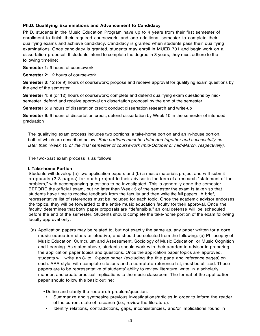# **Ph.D. Qualifying Examinations and Advancement to Candidacy**

Ph.D. students in the Music Education Program have up to 4 years from their first semester of enrollment to finish their required coursework, and one additional semester to complete their qualifying exams and achieve candidacy. Candidacy is granted when students pass their qualifying examinations. Once candidacy is granted, students may enroll in MUED 701 and begin work on a dissertation proposal. If students intend to complete the degree in 3 years, they must adhere to the following timeline:

**Semester 1:** 9 hours of coursework

**Semester 2:** 12 hours of coursework

**Semester 3:** 12 (or 9) hours of coursework; propose and receive approval for qualifying exam questions by the end of the semester

**Semester 4:** 9 (or 12) hours of coursework; complete and defend qualifying exam questions by midsemester; defend and receive approval on dissertation proposal by the end of the semester

**Semester 5:** 9 hours of dissertation credit; conduct dissertation research and write-up

**Semester 6:** 9 hours of dissertation credit; defend dissertation by Week 10 in the semester of intended graduation

The qualifying exam process includes two portions: a take-home portion and an in-house portion, both of which are described below. *Both portions must be defended together and successfully no later than Week 10 of the final semester of coursework (mid-October or mid-March, respectively)*.

The two-part exam process is as follows:

#### **I. Take-home Portion**

Students will develop (a) two application papers and (b) a music materials project and will submit proposals (2-3 pages) for each project to their advisor in the form of a research "statement of the problem," with accompanying questions to be investigated. This is generally done the semester BEFORE the official exam, but no later than Week 5 of the semester the exam is taken so that students have time to receive feedback from the faculty and then write the full papers. A brief, representative list of references must be included for each topic. Once the academic advisor endorses the topics, they will be forwarded to the entire music education faculty for their approval. Once the faculty determines that both paper proposals are "defensible," an oral defense will be scheduled before the end of the semester. Students should complete the take-home portion of the exam following faculty approval only.

- (a) Application papers may be related to, but not exactly the same as, any paper written for a core music education class or elective, and should be selected from the following: (a) Philosophy of Music Education, Curriculum and Assessment, Sociology of Music Education, or Music Cognition and Learning. As stated above, students should work with their academic advisor in preparing the application paper topics and questions. Once the application paper topics are approved, students will write an 8- to 12-page paper (excluding the title page and reference pages) on each. APA style, with complete citations and a complete reference list, must be utilized. These papers are to be representative of students' ability to review literature, write in a scholarly manner, and create practical implications to the music classroom. The format of the application paper should follow this basic outline:
	- Define and clarify the research problem/question.
	- Summarize and synthesize previous investigations/articles in order to inform the reader of the current state of research (i.e., review the literature).
	- Identify relations, contradictions, gaps, inconsistencies, and/or implications found in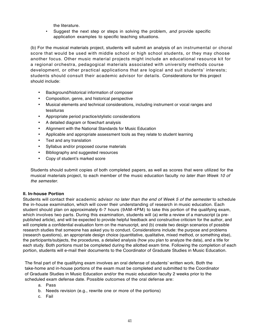the literature.

• Suggest the next step or steps in solving the problem, *and* provide specific application examples to specific teaching situations.

(b) For the musical materials project, students will submit an analysis of an instrumental or choral score that would be used with middle school or high school students, or they may choose another focus. Other music material projects might include an educational resource kit for a regional orchestra, pedagogical materials associated with university methods course development, or other practical applications that are logical and suit students' interests; students should consult their academic advisor for details. Considerations for this project should include:

- Background/historical information of composer
- Composition, genre, and historical perspective
- Musical elements and technical considerations, including instrument or vocal ranges and tessituras
- Appropriate period practice/stylistic considerations
- A detailed diagram or flowchart analysis
- Alignment with the National Standards for Music Education
- Applicable and appropriate assessment tools as they relate to student learning
- Text and any translation
- Syllabus and/or proposed course materials
- Bibliography and suggested resources
- Copy of student's marked score

Students should submit copies of both completed papers, as well as scores that were utilized for the musical materials project, to each member of the music education faculty *no later than Week 10 of the semester*.

## **II. In-house Portion**

Students will contact their academic advisor *no later than the end of Week 5 of the semester* to schedule the in-house examination, which will cover their understanding of research in music education. Each student should plan on approximately 6-7 hours (9AM-4PM) to take this portion of the qualifying exam, which involves two parts. During this examination, students will (a) write a review of a manuscript (a prepublished article), and will be expected to provide helpful feedback and constructive criticism for the author, and will complete a confidential evaluation form on the manuscript, and (b) create two design scenarios of possible research studies that someone has asked you to conduct. Considerations include: the purpose and problems (research questions), an appropriate design choice (quantitative, qualitative, mixed method, or something else), the participants/subjects, the procedures, a detailed analysis (how you plan to analyze the data), and a title for each study. Both portions must be completed during the allotted exam time. Following the completion of each portion, students will e-mail their documents to the Coordinator of Graduate Studies in Music Education.

The final part of the qualifying exam involves an oral defense of students' written work. Both the take-home and in-house portions of the exam must be completed and submitted to the Coordinator of Graduate Studies in Music Education and/or the music education faculty 2 weeks prior to the scheduled exam defense date. Possible outcomes of the oral defense are:

- a. Pass
- b. Needs revision (e.g., rewrite one or more of the portions)
- c. Fail